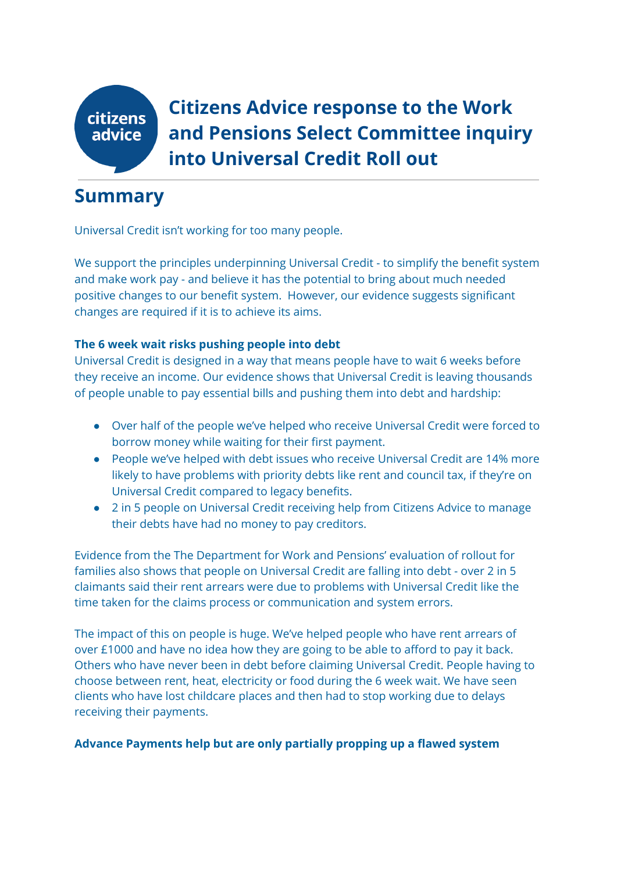

**Citizens Advice response to the Work and Pensions Select Committee inquiry into Universal Credit Roll out**

# **Summary**

Universal Credit isn't working for too many people.

We support the principles underpinning Universal Credit - to simplify the benefit system and make work pay - and believe it has the potential to bring about much needed positive changes to our benefit system. However, our evidence suggests significant changes are required if it is to achieve its aims.

### **The 6 week wait risks pushing people into debt**

Universal Credit is designed in a way that means people have to wait 6 weeks before they receive an income. Our evidence shows that Universal Credit is leaving thousands of people unable to pay essential bills and pushing them into debt and hardship:

- Over half of the people we've helped who receive Universal Credit were forced to borrow money while waiting for their first payment.
- People we've helped with debt issues who receive Universal Credit are 14% more likely to have problems with priority debts like rent and council tax, if they're on Universal Credit compared to legacy benefits.
- 2 in 5 people on Universal Credit receiving help from Citizens Advice to manage their debts have had no money to pay creditors.

Evidence from the The Department for Work and Pensions' evaluation of rollout for families also shows that people on Universal Credit are falling into debt - over 2 in 5 claimants said their rent arrears were due to problems with Universal Credit like the time taken for the claims process or communication and system errors.

The impact of this on people is huge. We've helped people who have rent arrears of over £1000 and have no idea how they are going to be able to afford to pay it back. Others who have never been in debt before claiming Universal Credit. People having to choose between rent, heat, electricity or food during the 6 week wait. We have seen clients who have lost childcare places and then had to stop working due to delays receiving their payments.

### **Advance Payments help but are only partially propping up a flawed system**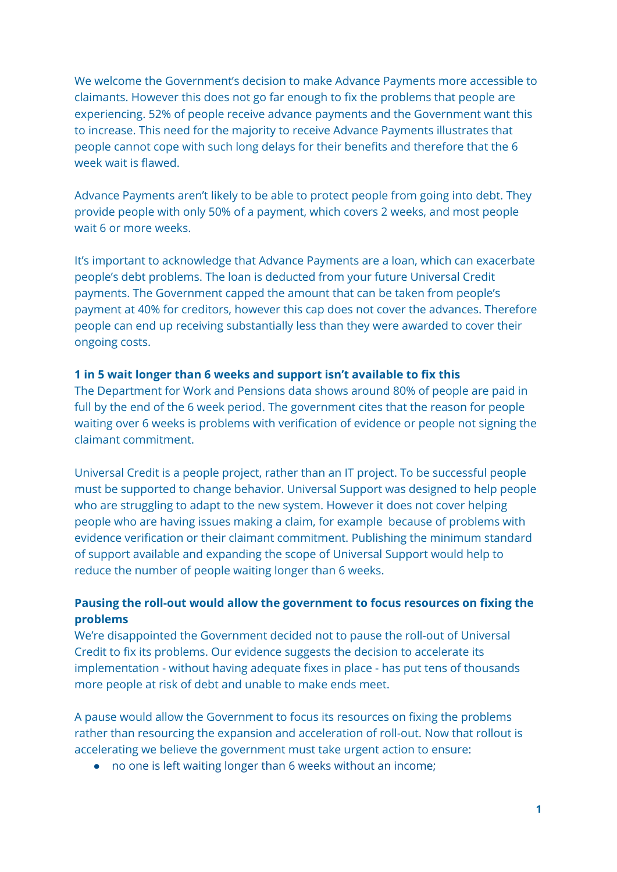We welcome the Government's decision to make Advance Payments more accessible to claimants. However this does not go far enough to fix the problems that people are experiencing. 52% of people receive advance payments and the Government want this to increase. This need for the majority to receive Advance Payments illustrates that people cannot cope with such long delays for their benefits and therefore that the 6 week wait is flawed.

Advance Payments aren't likely to be able to protect people from going into debt. They provide people with only 50% of a payment, which covers 2 weeks, and most people wait 6 or more weeks.

It's important to acknowledge that Advance Payments are a loan, which can exacerbate people's debt problems. The loan is deducted from your future Universal Credit payments. The Government capped the amount that can be taken from people's payment at 40% for creditors, however this cap does not cover the advances. Therefore people can end up receiving substantially less than they were awarded to cover their ongoing costs.

#### **1 in 5 wait longer than 6 weeks and support isn't available to fix this**

The Department for Work and Pensions data shows around 80% of people are paid in full by the end of the 6 week period. The government cites that the reason for people waiting over 6 weeks is problems with verification of evidence or people not signing the claimant commitment.

Universal Credit is a people project, rather than an IT project. To be successful people must be supported to change behavior. Universal Support was designed to help people who are struggling to adapt to the new system. However it does not cover helping people who are having issues making a claim, for example because of problems with evidence verification or their claimant commitment. Publishing the minimum standard of support available and expanding the scope of Universal Support would help to reduce the number of people waiting longer than 6 weeks.

### **Pausing the roll-out would allow the government to focus resources on fixing the problems**

We're disappointed the Government decided not to pause the roll-out of Universal Credit to fix its problems. Our evidence suggests the decision to accelerate its implementation - without having adequate fixes in place - has put tens of thousands more people at risk of debt and unable to make ends meet.

A pause would allow the Government to focus its resources on fixing the problems rather than resourcing the expansion and acceleration of roll-out. Now that rollout is accelerating we believe the government must take urgent action to ensure:

● no one is left waiting longer than 6 weeks without an income;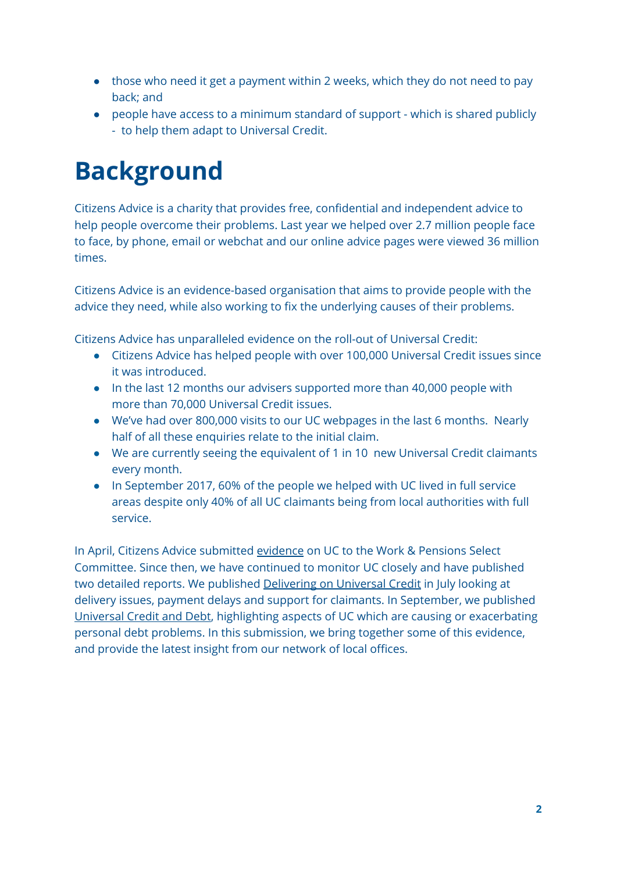- those who need it get a payment within 2 weeks, which they do not need to pay back; and
- people have access to a minimum standard of support which is shared publicly - to help them adapt to Universal Credit.

# **Background**

Citizens Advice is a charity that provides free, confidential and independent advice to help people overcome their problems. Last year we helped over 2.7 million people face to face, by phone, email or webchat and our online advice pages were viewed 36 million times.

Citizens Advice is an evidence-based organisation that aims to provide people with the advice they need, while also working to fix the underlying causes of their problems.

Citizens Advice has unparalleled evidence on the roll-out of Universal Credit:

- Citizens Advice has helped people with over 100,000 Universal Credit issues since it was introduced.
- In the last 12 months our advisers supported more than 40,000 people with more than 70,000 Universal Credit issues.
- We've had over 800,000 visits to our UC webpages in the last 6 months. Nearly half of all these enquiries relate to the initial claim.
- We are currently seeing the equivalent of 1 in 10 new Universal Credit claimants every month.
- In September 2017, 60% of the people we helped with UC lived in full service areas despite only 40% of all UC claimants being from local authorities with full service.

In April, Citizens Advice submitted [evidence](http://data.parliament.uk/writtenevidence/committeeevidence.svc/evidencedocument/work-and-pensions-committee/universal-credit-update/written/48882.pdf) on UC to the Work & Pensions Select Committee. Since then, we have continued to monitor UC closely and have published two detailed reports. We published [Delivering](https://www.citizensadvice.org.uk/Global/CitizensAdvice/welfare%20publications/Delivering%20on%20Universal%20Credit%20-%20report.pdf) on Universal Credit in July looking at delivery issues, payment delays and support for claimants. In September, we published [Universal](https://www.citizensadvice.org.uk/Global/CitizensAdvice/welfare%20publications/Universal%20Credit%20and%20Debt%20-%20final.pdf) Credit and Debt, highlighting aspects of UC which are causing or exacerbating personal debt problems. In this submission, we bring together some of this evidence, and provide the latest insight from our network of local offices.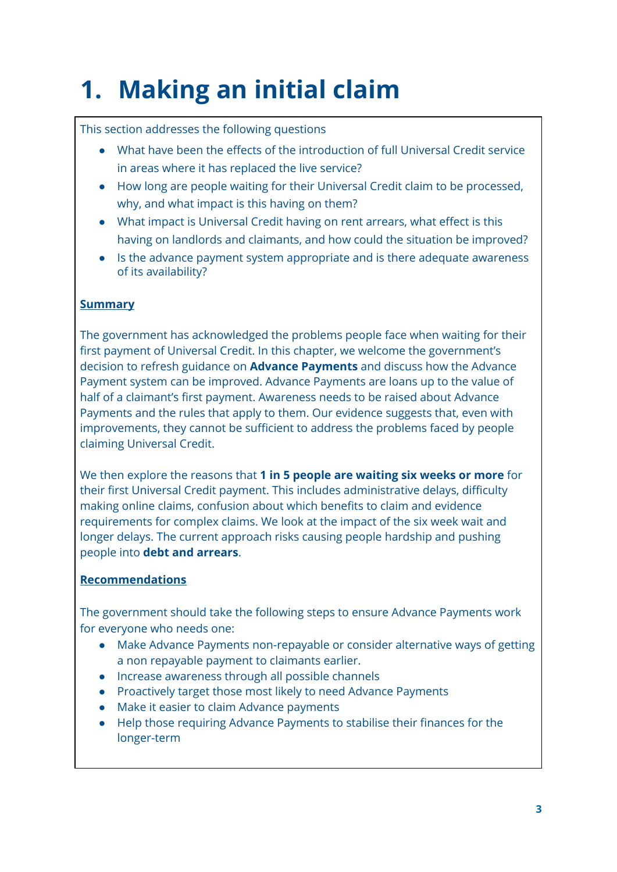# **1. Making an initial claim**

# This section addresses the following questions

- What have been the effects of the introduction of full Universal Credit service in areas where it has replaced the live service?
- How long are people waiting for their Universal Credit claim to be processed, why, and what impact is this having on them?
- What impact is Universal Credit having on rent arrears, what effect is this having on landlords and claimants, and how could the situation be improved?
- Is the advance payment system appropriate and is there adequate awareness of its availability?

## **Summary**

The government has acknowledged the problems people face when waiting for their first payment of Universal Credit. In this chapter, we welcome the government's decision to refresh guidance on **Advance Payments** and discuss how the Advance Payment system can be improved. Advance Payments are loans up to the value of half of a claimant's first payment. Awareness needs to be raised about Advance Payments and the rules that apply to them. Our evidence suggests that, even with improvements, they cannot be sufficient to address the problems faced by people claiming Universal Credit.

We then explore the reasons that **1 in 5 people are waiting six weeks or more** for their first Universal Credit payment. This includes administrative delays, difficulty making online claims, confusion about which benefits to claim and evidence requirements for complex claims. We look at the impact of the six week wait and longer delays. The current approach risks causing people hardship and pushing people into **debt and arrears**.

# **Recommendations**

The government should take the following steps to ensure Advance Payments work for everyone who needs one:

- Make Advance Payments non-repayable or consider alternative ways of getting a non repayable payment to claimants earlier.
- Increase awareness through all possible channels
- Proactively target those most likely to need Advance Payments
- Make it easier to claim Advance payments
- Help those requiring Advance Payments to stabilise their finances for the longer-term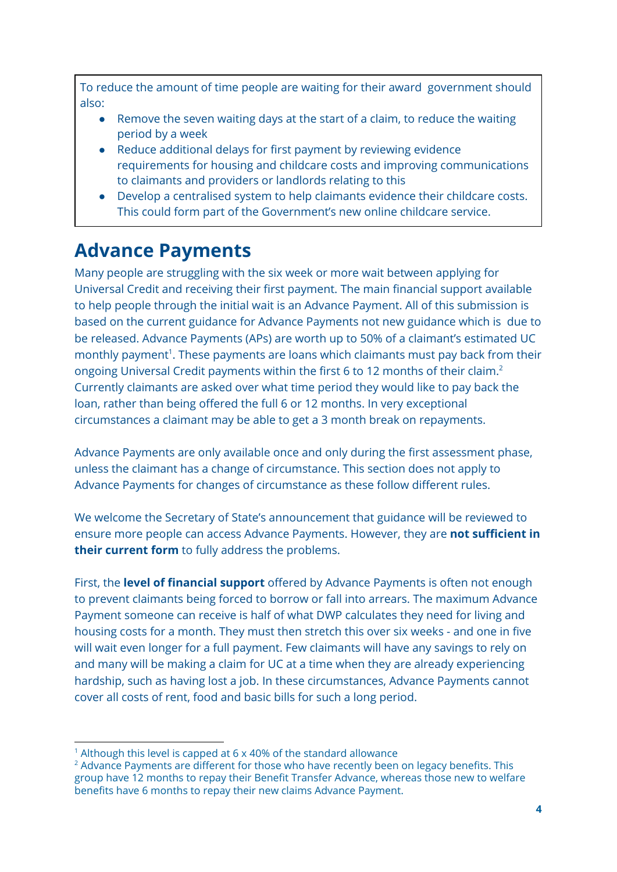To reduce the amount of time people are waiting for their award government should also:

- Remove the seven waiting days at the start of a claim, to reduce the waiting period by a week
- Reduce additional delays for first payment by reviewing evidence requirements for housing and childcare costs and improving communications to claimants and providers or landlords relating to this
- Develop a centralised system to help claimants evidence their childcare costs. This could form part of the Government's new online childcare service.

# **Advance Payments**

Many people are struggling with the six week or more wait between applying for Universal Credit and receiving their first payment. The main financial support available to help people through the initial wait is an Advance Payment. All of this submission is based on the current guidance for Advance Payments not new guidance which is due to be released. Advance Payments (APs) are worth up to 50% of a claimant's estimated UC monthly payment<sup>1</sup>. These payments are loans which claimants must pay back from their ongoing Universal Credit payments within the first 6 to 12 months of their claim.<sup>2</sup> Currently claimants are asked over what time period they would like to pay back the loan, rather than being offered the full 6 or 12 months. In very exceptional circumstances a claimant may be able to get a 3 month break on repayments.

Advance Payments are only available once and only during the first assessment phase, unless the claimant has a change of circumstance. This section does not apply to Advance Payments for changes of circumstance as these follow different rules.

We welcome the Secretary of State's announcement that guidance will be reviewed to ensure more people can access Advance Payments. However, they are **not sufficient in their current form** to fully address the problems.

First, the **level of financial support** offered by Advance Payments is often not enough to prevent claimants being forced to borrow or fall into arrears. The maximum Advance Payment someone can receive is half of what DWP calculates they need for living and housing costs for a month. They must then stretch this over six weeks - and one in five will wait even longer for a full payment. Few claimants will have any savings to rely on and many will be making a claim for UC at a time when they are already experiencing hardship, such as having lost a job. In these circumstances, Advance Payments cannot cover all costs of rent, food and basic bills for such a long period.

<sup>&</sup>lt;sup>1</sup> Although this level is capped at  $6 \times 40\%$  of the standard allowance

 $2$  Advance Payments are different for those who have recently been on legacy benefits. This group have 12 months to repay their Benefit Transfer Advance, whereas those new to welfare benefits have 6 months to repay their new claims Advance Payment.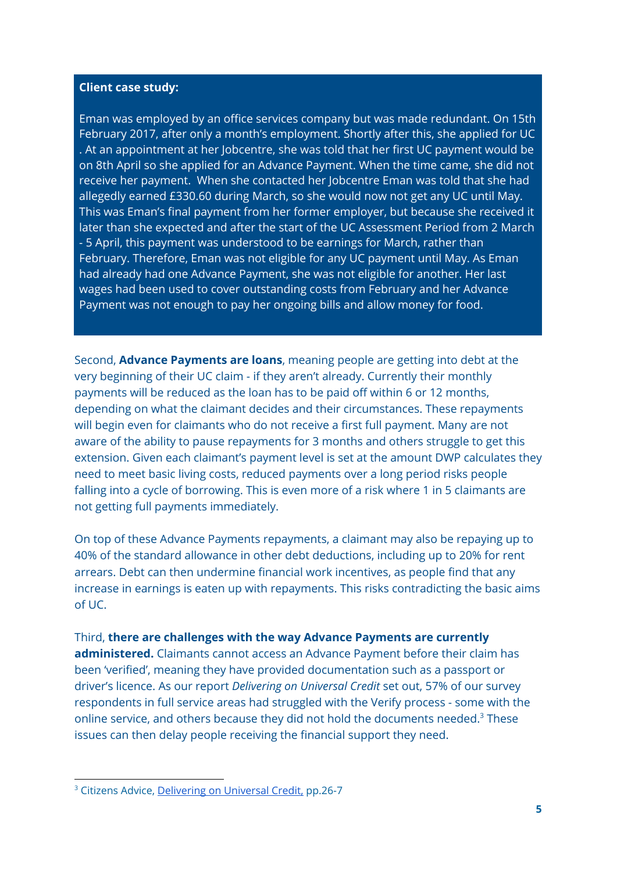#### **Client case study:**

Eman was employed by an office services company but was made redundant. On 15th February 2017, after only a month's employment. Shortly after this, she applied for UC . At an appointment at her Jobcentre, she was told that her first UC payment would be on 8th April so she applied for an Advance Payment. When the time came, she did not receive her payment. When she contacted her Jobcentre Eman was told that she had allegedly earned £330.60 during March, so she would now not get any UC until May. This was Eman's final payment from her former employer, but because she received it later than she expected and after the start of the UC Assessment Period from 2 March - 5 April, this payment was understood to be earnings for March, rather than February. Therefore, Eman was not eligible for any UC payment until May. As Eman had already had one Advance Payment, she was not eligible for another. Her last wages had been used to cover outstanding costs from February and her Advance Payment was not enough to pay her ongoing bills and allow money for food.

Second, **Advance Payments are loans**, meaning people are getting into debt at the very beginning of their UC claim - if they aren't already. Currently their monthly payments will be reduced as the loan has to be paid off within 6 or 12 months, depending on what the claimant decides and their circumstances. These repayments will begin even for claimants who do not receive a first full payment. Many are not aware of the ability to pause repayments for 3 months and others struggle to get this extension. Given each claimant's payment level is set at the amount DWP calculates they need to meet basic living costs, reduced payments over a long period risks people falling into a cycle of borrowing. This is even more of a risk where 1 in 5 claimants are not getting full payments immediately.

On top of these Advance Payments repayments, a claimant may also be repaying up to 40% of the standard allowance in other debt deductions, including up to 20% for rent arrears. Debt can then undermine financial work incentives, as people find that any increase in earnings is eaten up with repayments. This risks contradicting the basic aims of UC.

#### Third, **there are challenges with the way Advance Payments are currently**

**administered.** Claimants cannot access an Advance Payment before their claim has been 'verified', meaning they have provided documentation such as a passport or driver's licence. As our report *Delivering on Universal Credit* set out, 57% of our survey respondents in full service areas had struggled with the Verify process - some with the online service, and others because they did not hold the documents needed. $3$  These issues can then delay people receiving the financial support they need.

<sup>&</sup>lt;sup>3</sup> Citizens Advice, [Delivering](https://www.citizensadvice.org.uk/Global/CitizensAdvice/welfare%20publications/Delivering%20on%20Universal%20Credit%20-%20report.pdf) on Universal Credit, pp.26-7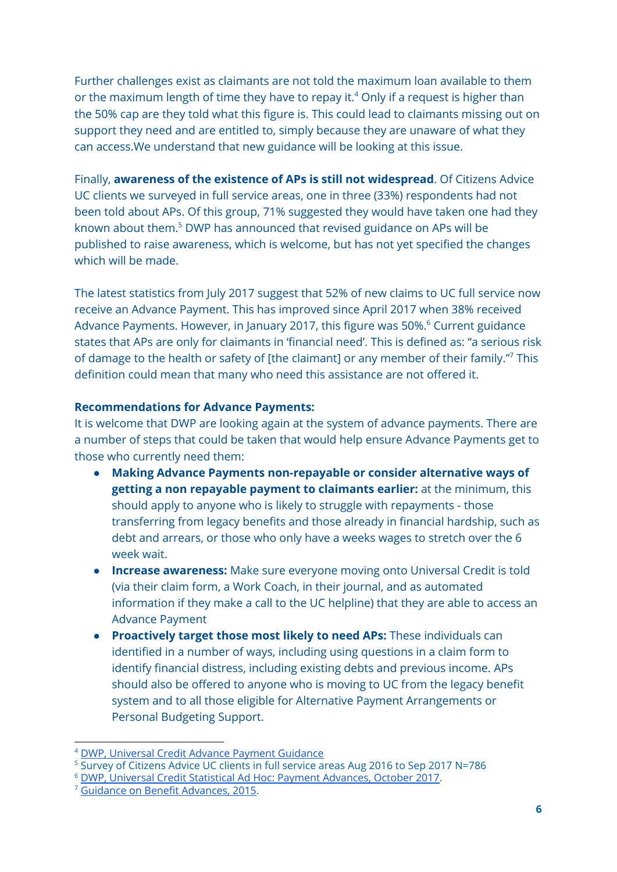Further challenges exist as claimants are not told the maximum loan available to them or the maximum length of time they have to repay it.<sup>4</sup> Only if a request is higher than the 50% cap are they told what this figure is. This could lead to claimants missing out on support they need and are entitled to, simply because they are unaware of what they can access.We understand that new guidance will be looking at this issue.

Finally, **awareness of the existence of APs is still not widespread**. Of Citizens Advice UC clients we surveyed in full service areas, one in three (33%) respondents had not been told about APs. Of this group, 71% suggested they would have taken one had they known about them.<sup>5</sup> DWP has announced that revised guidance on APs will be published to raise awareness, which is welcome, but has not yet specified the changes which will be made.

The latest statistics from July 2017 suggest that 52% of new claims to UC full service now receive an Advance Payment. This has improved since April 2017 when 38% received Advance Payments. However, in January 2017, this figure was 50%.<sup>6</sup> Current guidance states that APs are only for claimants in 'financial need'. This is defined as: "a serious risk of damage to the health or safety of [the claimant] or any member of their family."7 This definition could mean that many who need this assistance are not offered it.

#### **Recommendations for Advance Payments:**

It is welcome that DWP are looking again at the system of advance payments. There are a number of steps that could be taken that would help ensure Advance Payments get to those who currently need them:

- **Making Advance Payments non-repayable or consider alternative ways of getting a non repayable payment to claimants earlier:** at the minimum, this should apply to anyone who is likely to struggle with repayments - those transferring from legacy benefits and those already in financial hardship, such as debt and arrears, or those who only have a weeks wages to stretch over the 6 week wait.
- **● Increase awareness:** Make sure everyone moving onto Universal Credit is told (via their claim form, a Work Coach, in their journal, and as automated information if they make a call to the UC helpline) that they are able to access an Advance Payment
- **● Proactively target those most likely to need APs:** These individuals can identified in a number of ways, including using questions in a claim form to identify financial distress, including existing debts and previous income. APs should also be offered to anyone who is moving to UC from the legacy benefit system and to all those eligible for Alternative Payment Arrangements or Personal Budgeting Support.

<sup>4</sup> DWP, Universal Credit Advance Payment [Guidance](https://www.whatdotheyknow.com/request/379542/response/920984/attach/3/4c.Universal%20Credit%20Advance.pdf?cookie_passthrough=1)

<sup>&</sup>lt;sup>5</sup> Survey of Citizens Advice UC clients in full service areas Aug 2016 to Sep 2017 N=786

<sup>6</sup> DWP, Universal Credit Statistical Ad Hoc: Payment [Advances,](https://www.gov.uk/government/uploads/system/uploads/attachment_data/file/648831/universal-credit-payment-advances-statistical-ad-hoc.pdf) October 2017.

<sup>&</sup>lt;sup>7</sup> Guidance on Benefit [Advances,](http://www.cpag.org.uk/sites/default/files/Benefit%20Processing%20and%20Decision%20Making%20guidance%20STBA%20March%202015.pdf) 2015.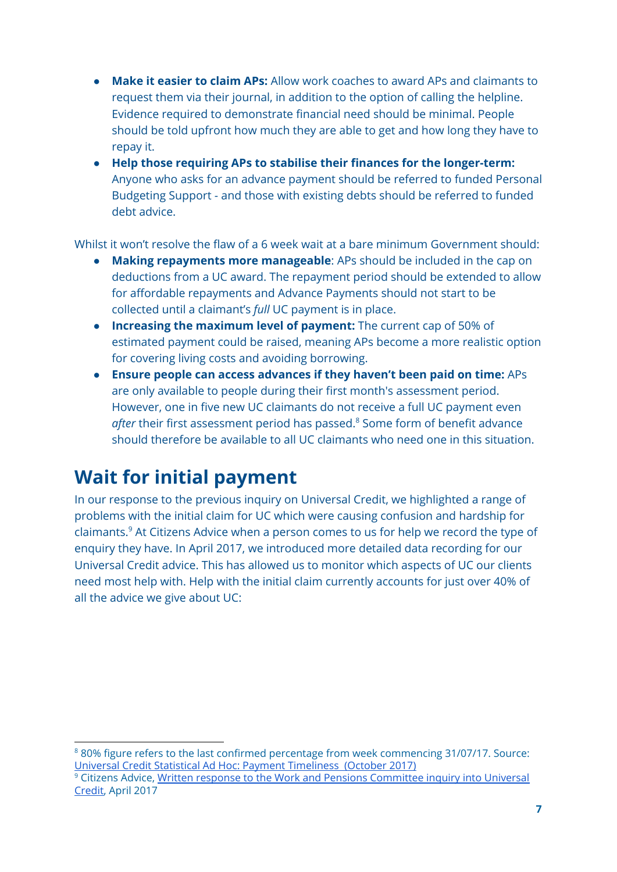- **● Make it easier to claim APs:** Allow work coaches to award APs and claimants to request them via their journal, in addition to the option of calling the helpline. Evidence required to demonstrate financial need should be minimal. People should be told upfront how much they are able to get and how long they have to repay it.
- **● Help those requiring APs to stabilise their finances for the longer-term:** Anyone who asks for an advance payment should be referred to funded Personal Budgeting Support - and those with existing debts should be referred to funded debt advice.

Whilst it won't resolve the flaw of a 6 week wait at a bare minimum Government should:

- **Making repayments more manageable**: APs should be included in the cap on deductions from a UC award. The repayment period should be extended to allow for affordable repayments and Advance Payments should not start to be collected until a claimant's *full* UC payment is in place.
- **Increasing the maximum level of payment:** The current cap of 50% of estimated payment could be raised, meaning APs become a more realistic option for covering living costs and avoiding borrowing.
- **Ensure people can access advances if they haven't been paid on time:** APs are only available to people during their first month's assessment period. However, one in five new UC claimants do not receive a full UC payment even after their first assessment period has passed.<sup>8</sup> Some form of benefit advance should therefore be available to all UC claimants who need one in this situation.

# **Wait for initial payment**

In our response to the previous inquiry on Universal Credit, we highlighted a range of problems with the initial claim for UC which were causing confusion and hardship for claimants.<sup>9</sup> At Citizens Advice when a person comes to us for help we record the type of enquiry they have. In April 2017, we introduced more detailed data recording for our Universal Credit advice. This has allowed us to monitor which aspects of UC our clients need most help with. Help with the initial claim currently accounts for just over 40% of all the advice we give about UC:

<sup>8</sup> 80% figure refers to the last confirmed percentage from week commencing 31/07/17. Source: Universal Credit Statistical Ad Hoc: Payment [Timeliness](https://www.gov.uk/government/uploads/system/uploads/attachment_data/file/648800/universal-credit-payment-timeliness-statistical-ad-hoc.pdf) (October 2017)

<sup>&</sup>lt;sup>9</sup> Citizens Advice, Written response to the Work and Pensions [Committee](http://data.parliament.uk/writtenevidence/committeeevidence.svc/evidencedocument/work-and-pensions-committee/universal-credit-update/written/48882.pdf) inquiry into Universal [Credit,](http://data.parliament.uk/writtenevidence/committeeevidence.svc/evidencedocument/work-and-pensions-committee/universal-credit-update/written/48882.pdf) April 2017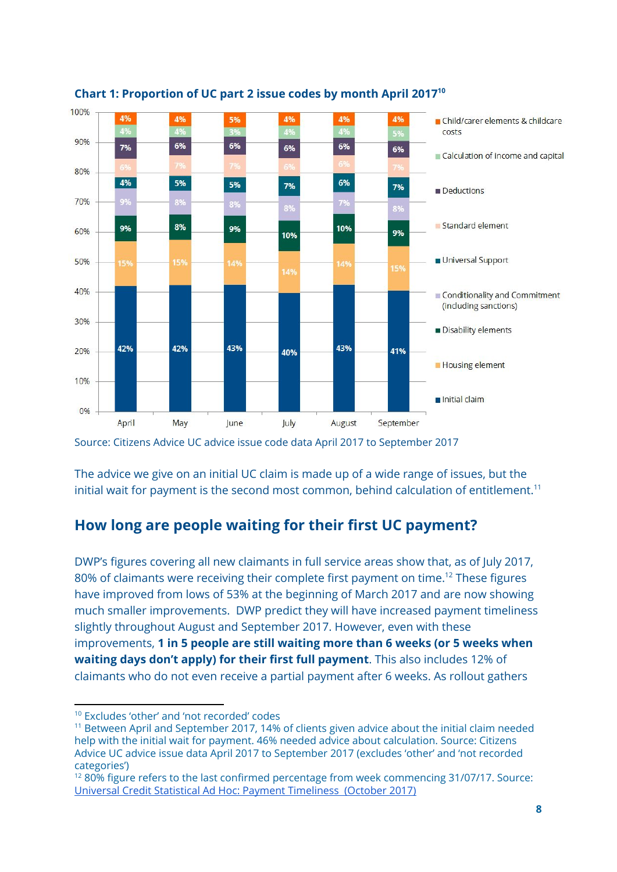

#### **Chart 1: Proportion of UC part 2 issue codes by month April 2017 10**

The advice we give on an initial UC claim is made up of a wide range of issues, but the initial wait for payment is the second most common, behind calculation of entitlement. $^{\mathrm{11}}$ 

# **How long are people waiting for their first UC payment?**

DWP's figures covering all new claimants in full service areas show that, as of July 2017, 80% of claimants were receiving their complete first payment on time. $^{12}$  These figures have improved from lows of 53% at the beginning of March 2017 and are now showing much smaller improvements. DWP predict they will have increased payment timeliness slightly throughout August and September 2017. However, even with these improvements, **1 in 5 people are still waiting more than 6 weeks (or 5 weeks when waiting days don't apply) for their first full payment**. This also includes 12% of claimants who do not even receive a partial payment after 6 weeks. As rollout gathers

Source: Citizens Advice UC advice issue code data April 2017 to September 2017

<sup>10</sup> Excludes 'other' and 'not recorded' codes

<sup>&</sup>lt;sup>11</sup> Between April and September 2017, 14% of clients given advice about the initial claim needed help with the initial wait for payment. 46% needed advice about calculation. Source: Citizens Advice UC advice issue data April 2017 to September 2017 (excludes 'other' and 'not recorded categories')

<sup>&</sup>lt;sup>12</sup> 80% figure refers to the last confirmed percentage from week commencing 31/07/17. Source: Universal Credit Statistical Ad Hoc: Payment [Timeliness](https://www.gov.uk/government/uploads/system/uploads/attachment_data/file/648800/universal-credit-payment-timeliness-statistical-ad-hoc.pdf) (October 2017)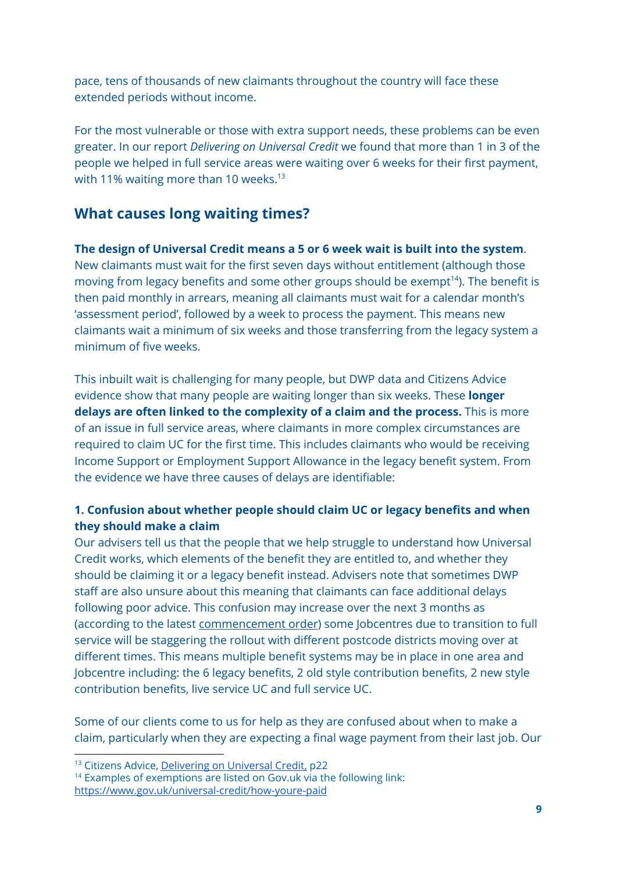pace, tens of thousands of new claimants throughout the country will face these extended periods without income.

For the most vulnerable or those with extra support needs, these problems can be even greater. In our report *Delivering on Universal Credit* we found that more than 1 in 3 of the people we helped in full service areas were waiting over 6 weeks for their first payment, with 11% waiting more than 10 weeks. 13

# **What causes long waiting times?**

#### **The design of Universal Credit means a 5 or 6 week wait is built into the system**.

New claimants must wait for the first seven days without entitlement (although those moving from legacy benefits and some other groups should be exempt<sup>14</sup>). The benefit is then paid monthly in arrears, meaning all claimants must wait for a calendar month's 'assessment period', followed by a week to process the payment. This means new claimants wait a minimum of six weeks and those transferring from the legacy system a minimum of five weeks.

This inbuilt wait is challenging for many people, but DWP data and Citizens Advice evidence show that many people are waiting longer than six weeks. These **longer delays are often linked to the complexity of a claim and the process.** This is more of an issue in full service areas, where claimants in more complex circumstances are required to claim UC for the first time. This includes claimants who would be receiving Income Support or Employment Support Allowance in the legacy benefit system. From the evidence we have three causes of delays are identifiable:

### **1. Confusion about whether people should claim UC or legacy benefits and when they should make a claim**

Our advisers tell us that the people that we help struggle to understand how Universal Credit works, which elements of the benefit they are entitled to, and whether they should be claiming it or a legacy benefit instead. Advisers note that sometimes DWP staff are also unsure about this meaning that claimants can face additional delays following poor advice. This confusion may increase over the next 3 months as (according to the latest [commencement](http://www.legislation.gov.uk/uksi/2017/952/contents/made) order) some Jobcentres due to transition to full service will be staggering the rollout with different postcode districts moving over at different times. This means multiple benefit systems may be in place in one area and Jobcentre including: the 6 legacy benefits, 2 old style contribution benefits, 2 new style contribution benefits, live service UC and full service UC.

Some of our clients come to us for help as they are confused about when to make a claim, particularly when they are expecting a final wage payment from their last job. Our

<sup>&</sup>lt;sup>13</sup> Citizens Advice, [Delivering](https://www.citizensadvice.org.uk/Global/CitizensAdvice/welfare%20publications/Delivering%20on%20Universal%20Credit%20-%20report.pdf) on Universal Credit, p22

<sup>&</sup>lt;sup>14</sup> Examples of exemptions are listed on Gov.uk via the following link: <https://www.gov.uk/universal-credit/how-youre-paid>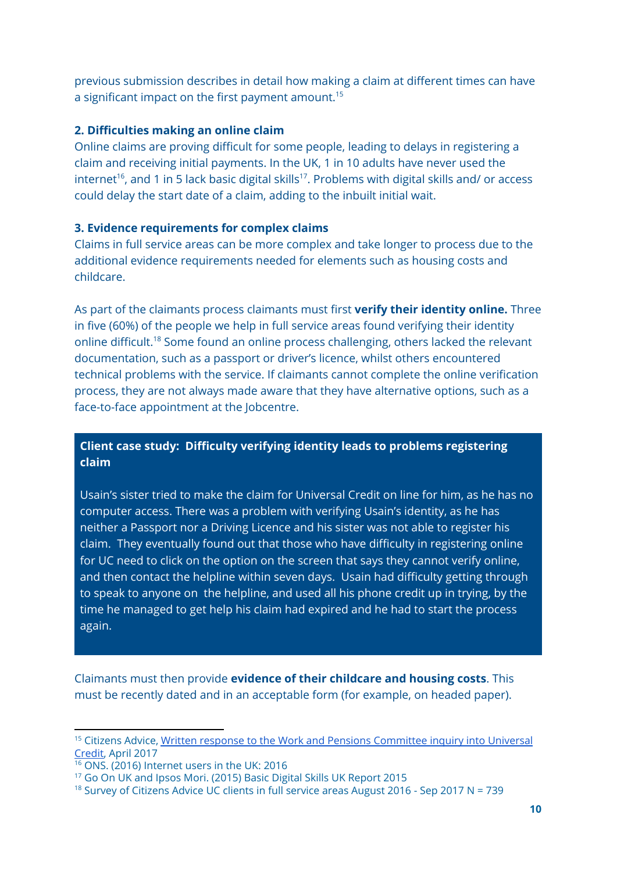previous submission describes in detail how making a claim at different times can have a significant impact on the first payment amount. $^{15}$ 

#### **2. Difficulties making an online claim**

Online claims are proving difficult for some people, leading to delays in registering a claim and receiving initial payments. In the UK, 1 in 10 adults have never used the internet<sup>16</sup>, and 1 in 5 lack basic digital skills<sup>17</sup>. Problems with digital skills and/ or access could delay the start date of a claim, adding to the inbuilt initial wait.

#### **3. Evidence requirements for complex claims**

Claims in full service areas can be more complex and take longer to process due to the additional evidence requirements needed for elements such as housing costs and childcare.

As part of the claimants process claimants must first **verify their identity online.** Three in five (60%) of the people we help in full service areas found verifying their identity online difficult.<sup>18</sup> Some found an online process challenging, others lacked the relevant documentation, such as a passport or driver's licence, whilst others encountered technical problems with the service. If claimants cannot complete the online verification process, they are not always made aware that they have alternative options, such as a face-to-face appointment at the Jobcentre.

## **Client case study: Difficulty verifying identity leads to problems registering claim**

Usain's sister tried to make the claim for Universal Credit on line for him, as he has no computer access. There was a problem with verifying Usain's identity, as he has neither a Passport nor a Driving Licence and his sister was not able to register his claim. They eventually found out that those who have difficulty in registering online for UC need to click on the option on the screen that says they cannot verify online, and then contact the helpline within seven days. Usain had difficulty getting through to speak to anyone on the helpline, and used all his phone credit up in trying, by the time he managed to get help his claim had expired and he had to start the process again.

Claimants must then provide **evidence of their childcare and housing costs**. This must be recently dated and in an acceptable form (for example, on headed paper).

<sup>&</sup>lt;sup>15</sup> Citizens Advice, Written response to the Work and Pensions [Committee](http://data.parliament.uk/writtenevidence/committeeevidence.svc/evidencedocument/work-and-pensions-committee/universal-credit-update/written/48882.pdf) inquiry into Universal [Credit,](http://data.parliament.uk/writtenevidence/committeeevidence.svc/evidencedocument/work-and-pensions-committee/universal-credit-update/written/48882.pdf) April 2017

<sup>16</sup> ONS. (2016) Internet users in the UK: 2016

<sup>17</sup> Go On UK and Ipsos Mori. (2015) Basic Digital Skills UK Report 2015

<sup>&</sup>lt;sup>18</sup> Survey of Citizens Advice UC clients in full service areas August 2016 - Sep 2017 N = 739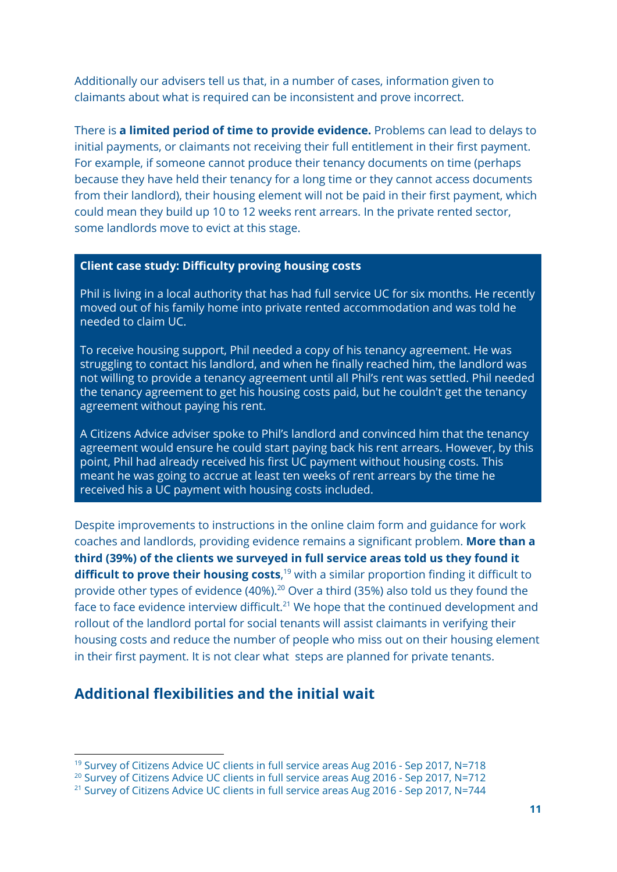Additionally our advisers tell us that, in a number of cases, information given to claimants about what is required can be inconsistent and prove incorrect.

There is **a limited period of time to provide evidence.** Problems can lead to delays to initial payments, or claimants not receiving their full entitlement in their first payment. For example, if someone cannot produce their tenancy documents on time (perhaps because they have held their tenancy for a long time or they cannot access documents from their landlord), their housing element will not be paid in their first payment, which could mean they build up 10 to 12 weeks rent arrears. In the private rented sector, some landlords move to evict at this stage.

#### **Client case study: Difficulty proving housing costs**

Phil is living in a local authority that has had full service UC for six months. He recently moved out of his family home into private rented accommodation and was told he needed to claim UC.

To receive housing support, Phil needed a copy of his tenancy agreement. He was struggling to contact his landlord, and when he finally reached him, the landlord was not willing to provide a tenancy agreement until all Phil's rent was settled. Phil needed the tenancy agreement to get his housing costs paid, but he couldn't get the tenancy agreement without paying his rent.

A Citizens Advice adviser spoke to Phil's landlord and convinced him that the tenancy agreement would ensure he could start paying back his rent arrears. However, by this point, Phil had already received his first UC payment without housing costs. This meant he was going to accrue at least ten weeks of rent arrears by the time he received his a UC payment with housing costs included.

Despite improvements to instructions in the online claim form and guidance for work coaches and landlords, providing evidence remains a significant problem. **More than a third (39%) of the clients we surveyed in full service areas told us they found it difficult to prove their housing costs**,<sup>19</sup> with a similar proportion finding it difficult to provide other types of evidence (40%). $^{20}$  Over a third (35%) also told us they found the face to face evidence interview difficult. $^{21}$  We hope that the continued development and rollout of the landlord portal for social tenants will assist claimants in verifying their housing costs and reduce the number of people who miss out on their housing element in their first payment. It is not clear what steps are planned for private tenants.

# **Additional flexibilities and the initial wait**

<sup>19</sup> Survey of Citizens Advice UC clients in full service areas Aug 2016 - Sep 2017, N=718

<sup>&</sup>lt;sup>20</sup> Survey of Citizens Advice UC clients in full service areas Aug 2016 - Sep 2017, N=712

<sup>&</sup>lt;sup>21</sup> Survey of Citizens Advice UC clients in full service areas Aug 2016 - Sep 2017, N=744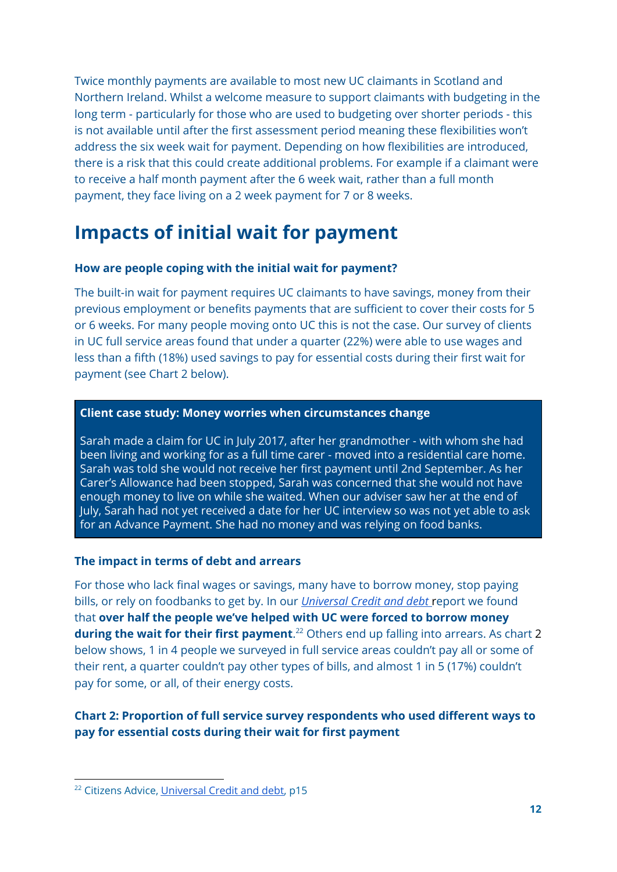Twice monthly payments are available to most new UC claimants in Scotland and Northern Ireland. Whilst a welcome measure to support claimants with budgeting in the long term - particularly for those who are used to budgeting over shorter periods - this is not available until after the first assessment period meaning these flexibilities won't address the six week wait for payment. Depending on how flexibilities are introduced, there is a risk that this could create additional problems. For example if a claimant were to receive a half month payment after the 6 week wait, rather than a full month payment, they face living on a 2 week payment for 7 or 8 weeks.

# **Impacts of initial wait for payment**

#### **How are people coping with the initial wait for payment?**

The built-in wait for payment requires UC claimants to have savings, money from their previous employment or benefits payments that are sufficient to cover their costs for 5 or 6 weeks. For many people moving onto UC this is not the case. Our survey of clients in UC full service areas found that under a quarter (22%) were able to use wages and less than a fifth (18%) used savings to pay for essential costs during their first wait for payment (see Chart 2 below).

#### **Client case study: Money worries when circumstances change**

Sarah made a claim for UC in July 2017, after her grandmother - with whom she had been living and working for as a full time carer - moved into a residential care home. Sarah was told she would not receive her first payment until 2nd September. As her Carer's Allowance had been stopped, Sarah was concerned that she would not have enough money to live on while she waited. When our adviser saw her at the end of July, Sarah had not yet received a date for her UC interview so was not yet able to ask for an Advance Payment. She had no money and was relying on food banks.

#### **The impact in terms of debt and arrears**

For those who lack final wages or savings, many have to borrow money, stop paying bills, or rely on foodbanks to get by. In our *[Universal](https://www.citizensadvice.org.uk/Global/CitizensAdvice/welfare%20publications/Universal%20Credit%20and%20Debt%20-%20final.pdf) Credit and debt* report we found that **over half the people we've helped with UC were forced to borrow money during the wait for their first payment.**<sup>22</sup> Others end up falling into arrears. As chart 2 below shows, 1 in 4 people we surveyed in full service areas couldn't pay all or some of their rent, a quarter couldn't pay other types of bills, and almost 1 in 5 (17%) couldn't pay for some, or all, of their energy costs.

### **Chart 2: Proportion of full service survey respondents who used different ways to pay for essential costs during their wait for first payment**

<sup>&</sup>lt;sup>22</sup> Citizens Advice, [Universal](https://www.citizensadvice.org.uk/Global/CitizensAdvice/welfare%20publications/Universal%20Credit%20and%20Debt%20-%20final.pdf) Credit and debt, p15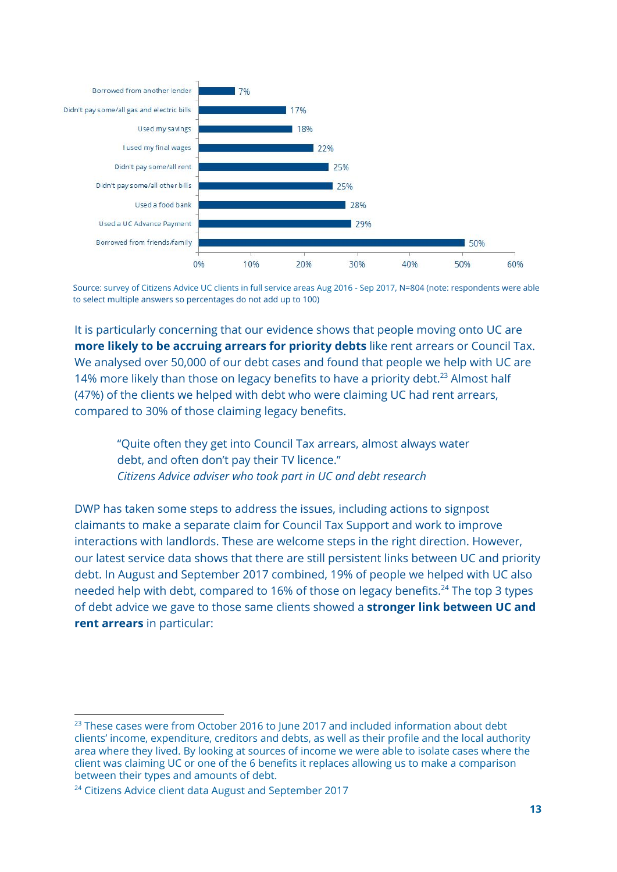

Source: survey of Citizens Advice UC clients in full service areas Aug 2016 - Sep 2017, N=804 (note: respondents were able to select multiple answers so percentages do not add up to 100)

It is particularly concerning that our evidence shows that people moving onto UC are **more likely to be accruing arrears for priority debts** like rent arrears or Council Tax. We analysed over 50,000 of our debt cases and found that people we help with UC are 14% more likely than those on legacy benefits to have a priority debt.<sup>23</sup> Almost half (47%) of the clients we helped with debt who were claiming UC had rent arrears, compared to 30% of those claiming legacy benefits.

"Quite often they get into Council Tax arrears, almost always water debt, and often don't pay their TV licence." *Citizens Advice adviser who took part in UC and debt research*

DWP has taken some steps to address the issues, including actions to signpost claimants to make a separate claim for Council Tax Support and work to improve interactions with landlords. These are welcome steps in the right direction. However, our latest service data shows that there are still persistent links between UC and priority debt. In August and September 2017 combined, 19% of people we helped with UC also needed help with debt, compared to 16% of those on legacy benefits.<sup>24</sup> The top 3 types of debt advice we gave to those same clients showed a **stronger link between UC and rent arrears** in particular:

 $23$  These cases were from October 2016 to June 2017 and included information about debt clients' income, expenditure, creditors and debts, as well as their profile and the local authority area where they lived. By looking at sources of income we were able to isolate cases where the client was claiming UC or one of the 6 benefits it replaces allowing us to make a comparison between their types and amounts of debt.

<sup>&</sup>lt;sup>24</sup> Citizens Advice client data August and September 2017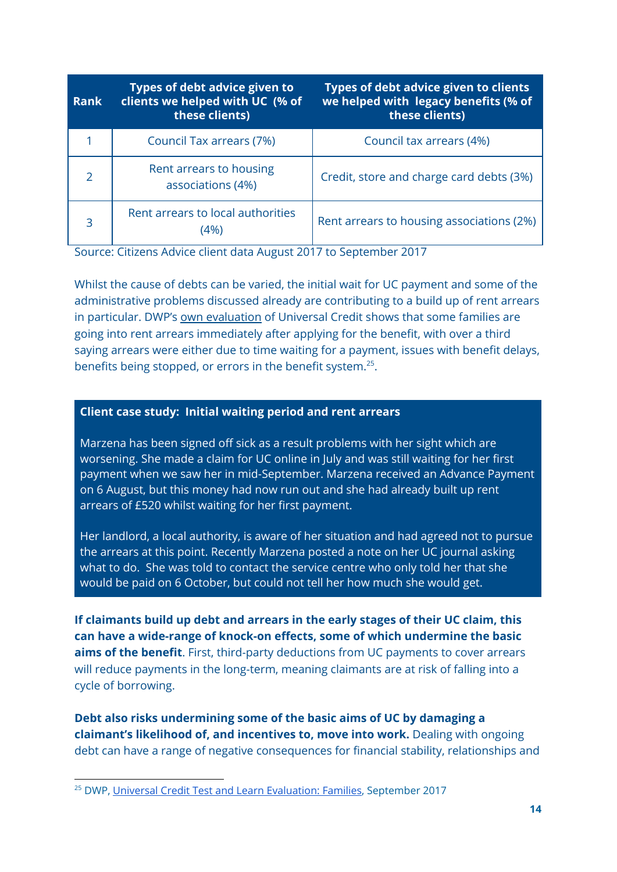| <b>Rank</b>   | Types of debt advice given to<br>clients we helped with UC (% of<br>these clients) | Types of debt advice given to clients<br>we helped with legacy benefits (% of<br>these clients) |
|---------------|------------------------------------------------------------------------------------|-------------------------------------------------------------------------------------------------|
|               | Council Tax arrears (7%)                                                           | Council tax arrears (4%)                                                                        |
| $\mathcal{L}$ | Rent arrears to housing<br>associations (4%)                                       | Credit, store and charge card debts (3%)                                                        |
| 3             | Rent arrears to local authorities<br>4%                                            | Rent arrears to housing associations (2%)                                                       |

Source: Citizens Advice client data August 2017 to September 2017

Whilst the cause of debts can be varied, the initial wait for UC payment and some of the administrative problems discussed already are contributing to a build up of rent arrears in particular. DWP's own [evaluation](https://www.gov.uk/government/uploads/system/uploads/attachment_data/file/643978/research-into-families-claiming-universal-credit.pdf) of Universal Credit shows that some families are going into rent arrears immediately after applying for the benefit, with over a third saying arrears were either due to time waiting for a payment, issues with benefit delays, benefits being stopped, or errors in the benefit system.<sup>25</sup>.

#### **Client case study: Initial waiting period and rent arrears**

Marzena has been signed off sick as a result problems with her sight which are worsening. She made a claim for UC online in July and was still waiting for her first payment when we saw her in mid-September. Marzena received an Advance Payment on 6 August, but this money had now run out and she had already built up rent arrears of £520 whilst waiting for her first payment.

Her landlord, a local authority, is aware of her situation and had agreed not to pursue the arrears at this point. Recently Marzena posted a note on her UC journal asking what to do. She was told to contact the service centre who only told her that she would be paid on 6 October, but could not tell her how much she would get.

**If claimants build up debt and arrears in the early stages of their UC claim, this can have a wide-range of knock-on effects, some of which undermine the basic aims of the benefit**. First, third-party deductions from UC payments to cover arrears will reduce payments in the long-term, meaning claimants are at risk of falling into a cycle of borrowing.

**Debt also risks undermining some of the basic aims of UC by damaging a claimant's likelihood of, and incentives to, move into work.** Dealing with ongoing debt can have a range of negative consequences for financial stability, relationships and

<sup>&</sup>lt;sup>25</sup> DWP, Universal Credit Test and Learn [Evaluation:](https://www.gov.uk/government/uploads/system/uploads/attachment_data/file/643978/research-into-families-claiming-universal-credit.pdf) Families, September 2017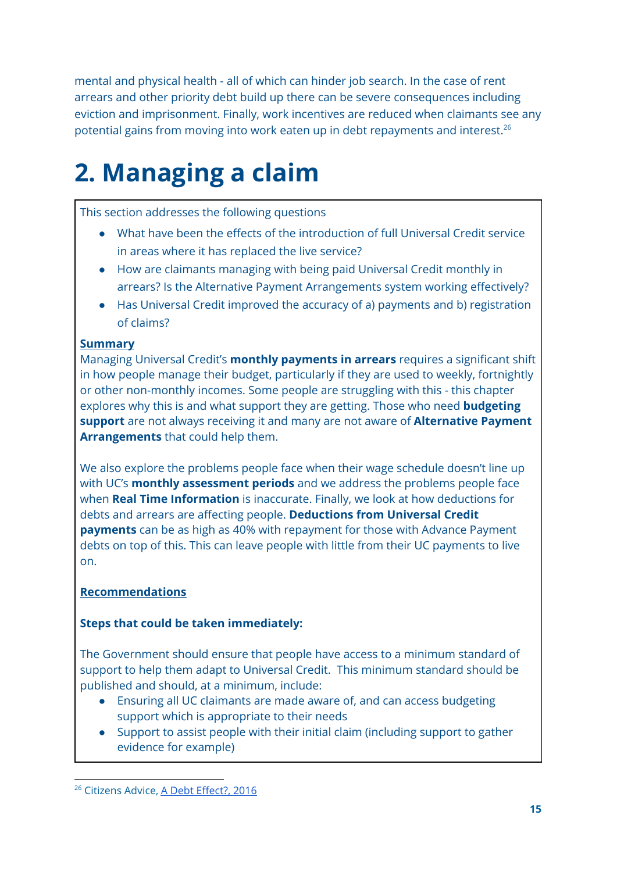mental and physical health - all of which can hinder job search. In the case of rent arrears and other priority debt build up there can be severe consequences including eviction and imprisonment. Finally, work incentives are reduced when claimants see any potential gains from moving into work eaten up in debt repayments and interest. 26

# **2. Managing a claim**

This section addresses the following questions

- What have been the effects of the introduction of full Universal Credit service in areas where it has replaced the live service?
- How are claimants managing with being paid Universal Credit monthly in arrears? Is the Alternative Payment Arrangements system working effectively?
- Has Universal Credit improved the accuracy of a) payments and b) registration of claims?

# **Summary**

Managing Universal Credit's **monthly payments in arrears** requires a significant shift in how people manage their budget, particularly if they are used to weekly, fortnightly or other non-monthly incomes. Some people are struggling with this - this chapter explores why this is and what support they are getting. Those who need **budgeting support** are not always receiving it and many are not aware of **Alternative Payment Arrangements** that could help them.

We also explore the problems people face when their wage schedule doesn't line up with UC's **monthly assessment periods** and we address the problems people face when **Real Time Information** is inaccurate. Finally, we look at how deductions for debts and arrears are affecting people. **Deductions from Universal Credit payments** can be as high as 40% with repayment for those with Advance Payment debts on top of this. This can leave people with little from their UC payments to live on.

# **Recommendations**

# **Steps that could be taken immediately:**

The Government should ensure that people have access to a minimum standard of support to help them adapt to Universal Credit. This minimum standard should be published and should, at a minimum, include:

- Ensuring all UC claimants are made aware of, and can access budgeting support which is appropriate to their needs
- Support to assist people with their initial claim (including support to gather evidence for example)

<sup>&</sup>lt;sup>26</sup> Citizens Advice, A Debt [Effect?,](https://www.citizensadvice.org.uk/Global/CitizensAdvice/Debt%20and%20Money%20Publications/The%20Debt%20Effect.pdf) 2016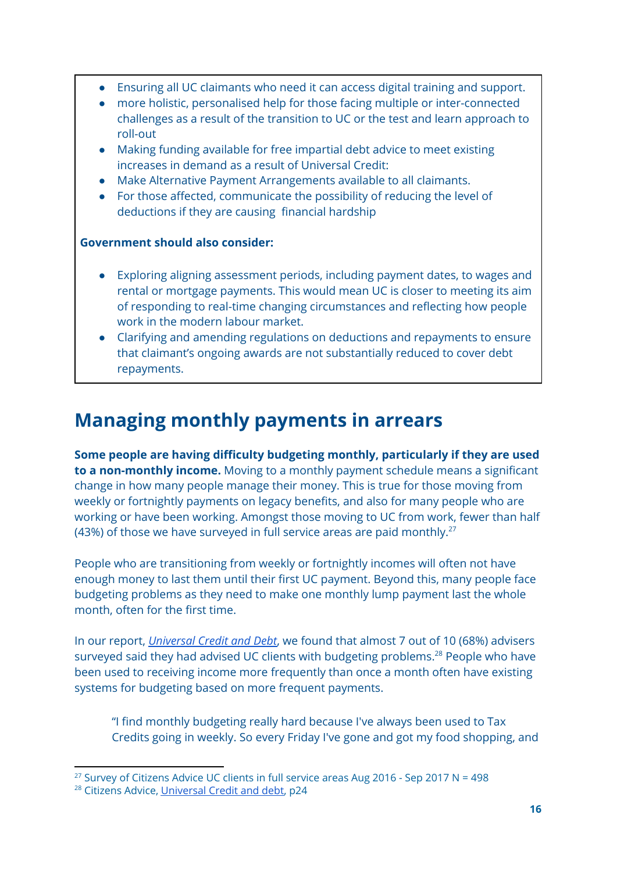- Ensuring all UC claimants who need it can access digital training and support.
- more holistic, personalised help for those facing multiple or inter-connected challenges as a result of the transition to UC or the test and learn approach to roll-out
- Making funding available for free impartial debt advice to meet existing increases in demand as a result of Universal Credit:
- Make Alternative Payment Arrangements available to all claimants.
- For those affected, communicate the possibility of reducing the level of deductions if they are causing financial hardship

### **Government should also consider:**

- Exploring aligning assessment periods, including payment dates, to wages and rental or mortgage payments. This would mean UC is closer to meeting its aim of responding to real-time changing circumstances and reflecting how people work in the modern labour market.
- Clarifying and amending regulations on deductions and repayments to ensure that claimant's ongoing awards are not substantially reduced to cover debt repayments.

# **Managing monthly payments in arrears**

**Some people are having difficulty budgeting monthly, particularly if they are used to a non-monthly income.** Moving to a monthly payment schedule means a significant change in how many people manage their money. This is true for those moving from weekly or fortnightly payments on legacy benefits, and also for many people who are working or have been working. Amongst those moving to UC from work, fewer than half (43%) of those we have surveyed in full service areas are paid monthly. $^{27}$ 

People who are transitioning from weekly or fortnightly incomes will often not have enough money to last them until their first UC payment. Beyond this, many people face budgeting problems as they need to make one monthly lump payment last the whole month, often for the first time.

In our report, *[Universal](https://www.citizensadvice.org.uk/Global/CitizensAdvice/welfare%20publications/Universal%20Credit%20and%20Debt%20-%20final.pdf) Credit and Debt*, we found that almost 7 out of 10 (68%) advisers surveyed said they had advised UC clients with budgeting problems. $^{28}$  People who have been used to receiving income more frequently than once a month often have existing systems for budgeting based on more frequent payments.

"I find monthly budgeting really hard because I've always been used to Tax Credits going in weekly. So every Friday I've gone and got my food shopping, and

<sup>&</sup>lt;sup>27</sup> Survey of Citizens Advice UC clients in full service areas Aug 2016 - Sep 2017 N = 498

<sup>&</sup>lt;sup>28</sup> Citizens Advice, [Universal](https://www.citizensadvice.org.uk/Global/CitizensAdvice/welfare%20publications/Universal%20Credit%20and%20Debt%20-%20final.pdf) Credit and debt, p24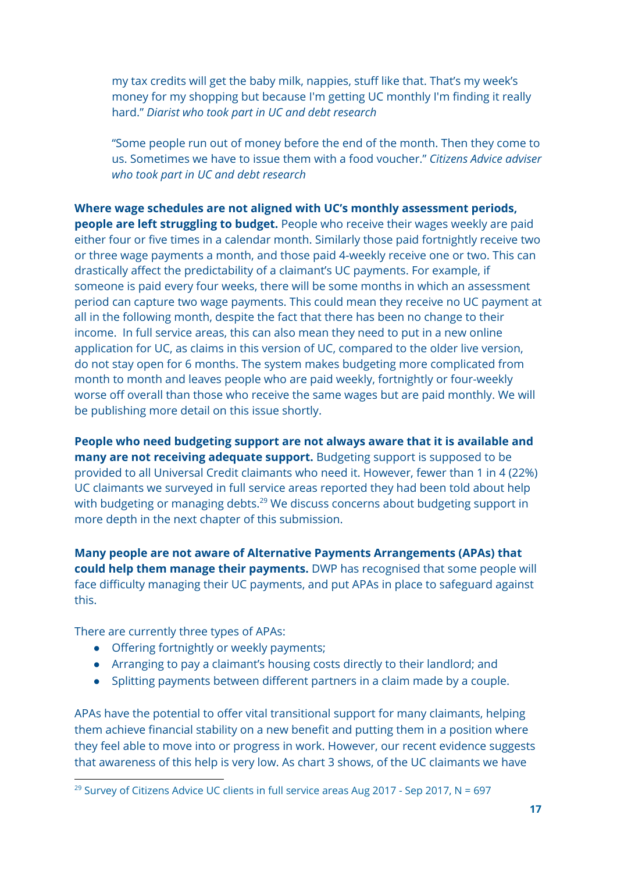my tax credits will get the baby milk, nappies, stuff like that. That's my week's money for my shopping but because I'm getting UC monthly I'm finding it really hard." *Diarist who took part in UC and debt research*

"Some people run out of money before the end of the month. Then they come to us. Sometimes we have to issue them with a food voucher." *Citizens Advice adviser who took part in UC and debt research*

**Where wage schedules are not aligned with UC's monthly assessment periods, people are left struggling to budget.** People who receive their wages weekly are paid either four or five times in a calendar month. Similarly those paid fortnightly receive two or three wage payments a month, and those paid 4-weekly receive one or two. This can drastically affect the predictability of a claimant's UC payments. For example, if someone is paid every four weeks, there will be some months in which an assessment period can capture two wage payments. This could mean they receive no UC payment at all in the following month, despite the fact that there has been no change to their income. In full service areas, this can also mean they need to put in a new online application for UC, as claims in this version of UC, compared to the older live version, do not stay open for 6 months. The system makes budgeting more complicated from month to month and leaves people who are paid weekly, fortnightly or four-weekly worse off overall than those who receive the same wages but are paid monthly. We will be publishing more detail on this issue shortly.

**People who need budgeting support are not always aware that it is available and many are not receiving adequate support.** Budgeting support is supposed to be provided to all Universal Credit claimants who need it. However, fewer than 1 in 4 (22%) UC claimants we surveyed in full service areas reported they had been told about help with budgeting or managing debts. $^{29}$  We discuss concerns about budgeting support in more depth in the next chapter of this submission.

**Many people are not aware of Alternative Payments Arrangements (APAs) that could help them manage their payments.** DWP has recognised that some people will face difficulty managing their UC payments, and put APAs in place to safeguard against this.

There are currently three types of APAs:

- Offering fortnightly or weekly payments;
- Arranging to pay a claimant's housing costs directly to their landlord; and
- Splitting payments between different partners in a claim made by a couple.

APAs have the potential to offer vital transitional support for many claimants, helping them achieve financial stability on a new benefit and putting them in a position where they feel able to move into or progress in work. However, our recent evidence suggests that awareness of this help is very low. As chart 3 shows, of the UC claimants we have

<sup>&</sup>lt;sup>29</sup> Survey of Citizens Advice UC clients in full service areas Aug 2017 - Sep 2017, N = 697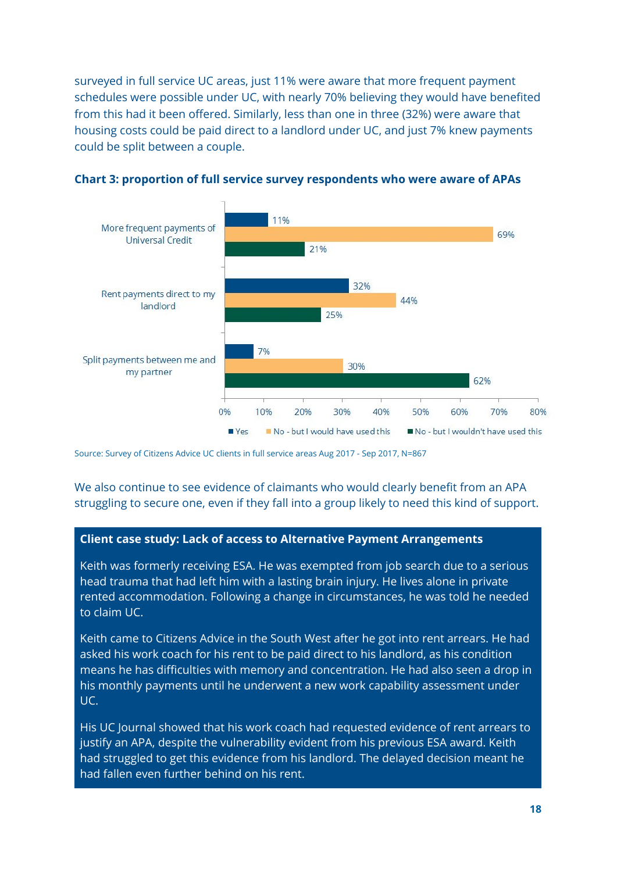surveyed in full service UC areas, just 11% were aware that more frequent payment schedules were possible under UC, with nearly 70% believing they would have benefited from this had it been offered. Similarly, less than one in three (32%) were aware that housing costs could be paid direct to a landlord under UC, and just 7% knew payments could be split between a couple.



**Chart 3: proportion of full service survey respondents who were aware of APAs**

Source: Survey of Citizens Advice UC clients in full service areas Aug 2017 - Sep 2017, N=867

We also continue to see evidence of claimants who would clearly benefit from an APA struggling to secure one, even if they fall into a group likely to need this kind of support.

#### **Client case study: Lack of access to Alternative Payment Arrangements**

Keith was formerly receiving ESA. He was exempted from job search due to a serious head trauma that had left him with a lasting brain injury. He lives alone in private rented accommodation. Following a change in circumstances, he was told he needed to claim UC.

Keith came to Citizens Advice in the South West after he got into rent arrears. He had asked his work coach for his rent to be paid direct to his landlord, as his condition means he has difficulties with memory and concentration. He had also seen a drop in his monthly payments until he underwent a new work capability assessment under UC.

His UC Journal showed that his work coach had requested evidence of rent arrears to justify an APA, despite the vulnerability evident from his previous ESA award. Keith had struggled to get this evidence from his landlord. The delayed decision meant he had fallen even further behind on his rent.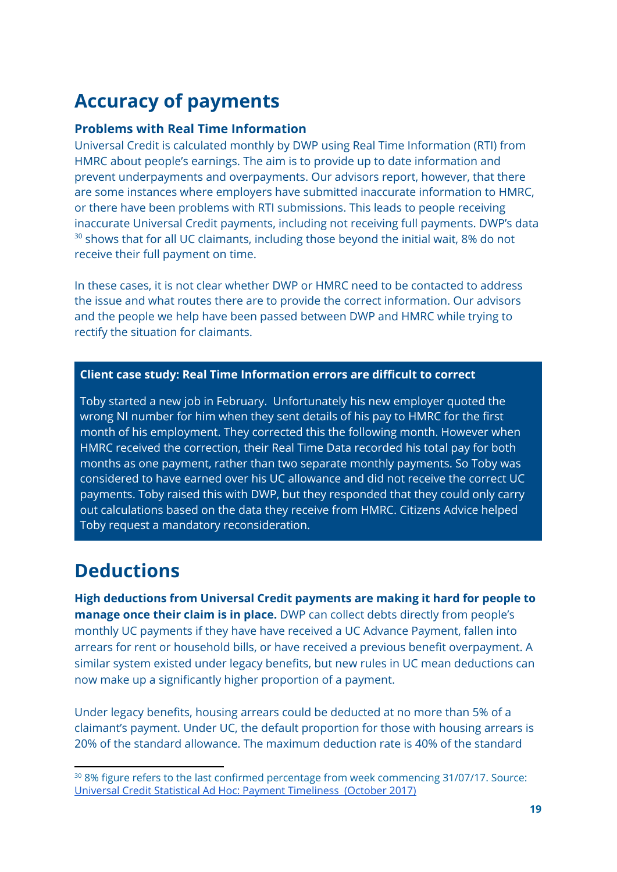# **Accuracy of payments**

#### **Problems with Real Time Information**

Universal Credit is calculated monthly by DWP using Real Time Information (RTI) from HMRC about people's earnings. The aim is to provide up to date information and prevent underpayments and overpayments. Our advisors report, however, that there are some instances where employers have submitted inaccurate information to HMRC, or there have been problems with RTI submissions. This leads to people receiving inaccurate Universal Credit payments, including not receiving full payments. DWP's data  $30$  shows that for all UC claimants, including those beyond the initial wait, 8% do not receive their full payment on time.

In these cases, it is not clear whether DWP or HMRC need to be contacted to address the issue and what routes there are to provide the correct information. Our advisors and the people we help have been passed between DWP and HMRC while trying to rectify the situation for claimants.

#### **Client case study: Real Time Information errors are difficult to correct**

Toby started a new job in February. Unfortunately his new employer quoted the wrong NI number for him when they sent details of his pay to HMRC for the first month of his employment. They corrected this the following month. However when HMRC received the correction, their Real Time Data recorded his total pay for both months as one payment, rather than two separate monthly payments. So Toby was considered to have earned over his UC allowance and did not receive the correct UC payments. Toby raised this with DWP, but they responded that they could only carry out calculations based on the data they receive from HMRC. Citizens Advice helped Toby request a mandatory reconsideration.

# **Deductions**

**High deductions from Universal Credit payments are making it hard for people to manage once their claim is in place.** DWP can collect debts directly from people's monthly UC payments if they have have received a UC Advance Payment, fallen into arrears for rent or household bills, or have received a previous benefit overpayment. A similar system existed under legacy benefits, but new rules in UC mean deductions can now make up a significantly higher proportion of a payment.

Under legacy benefits, housing arrears could be deducted at no more than 5% of a claimant's payment. Under UC, the default proportion for those with housing arrears is 20% of the standard allowance. The maximum deduction rate is 40% of the standard

<sup>&</sup>lt;sup>30</sup> 8% figure refers to the last confirmed percentage from week commencing 31/07/17. Source: Universal Credit Statistical Ad Hoc: Payment [Timeliness](https://www.gov.uk/government/uploads/system/uploads/attachment_data/file/648800/universal-credit-payment-timeliness-statistical-ad-hoc.pdf) (October 2017)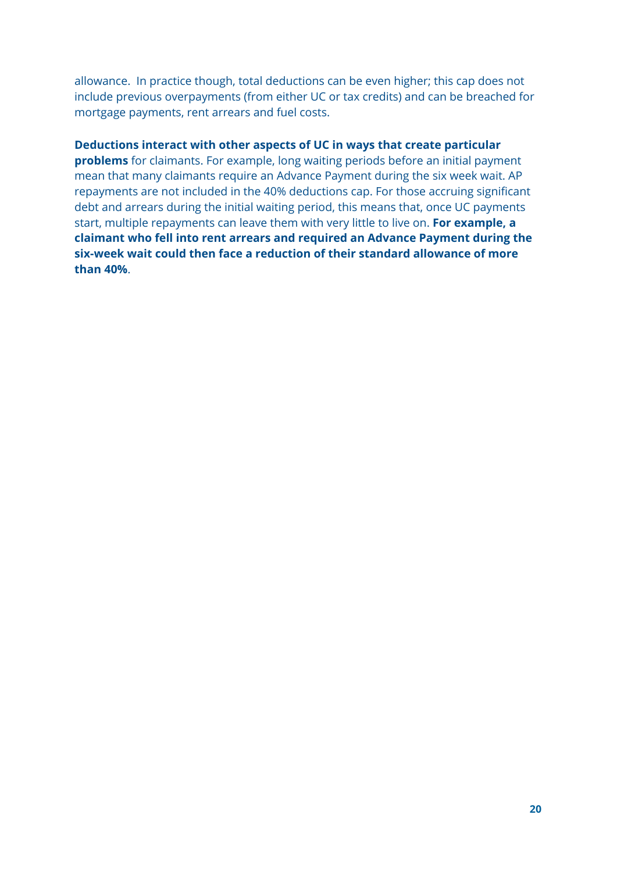allowance. In practice though, total deductions can be even higher; this cap does not include previous overpayments (from either UC or tax credits) and can be breached for mortgage payments, rent arrears and fuel costs.

#### **Deductions interact with other aspects of UC in ways that create particular**

**problems** for claimants. For example, long waiting periods before an initial payment mean that many claimants require an Advance Payment during the six week wait. AP repayments are not included in the 40% deductions cap. For those accruing significant debt and arrears during the initial waiting period, this means that, once UC payments start, multiple repayments can leave them with very little to live on. **For example, a claimant who fell into rent arrears and required an Advance Payment during the six-week wait could then face a reduction of their standard allowance of more than 40%**.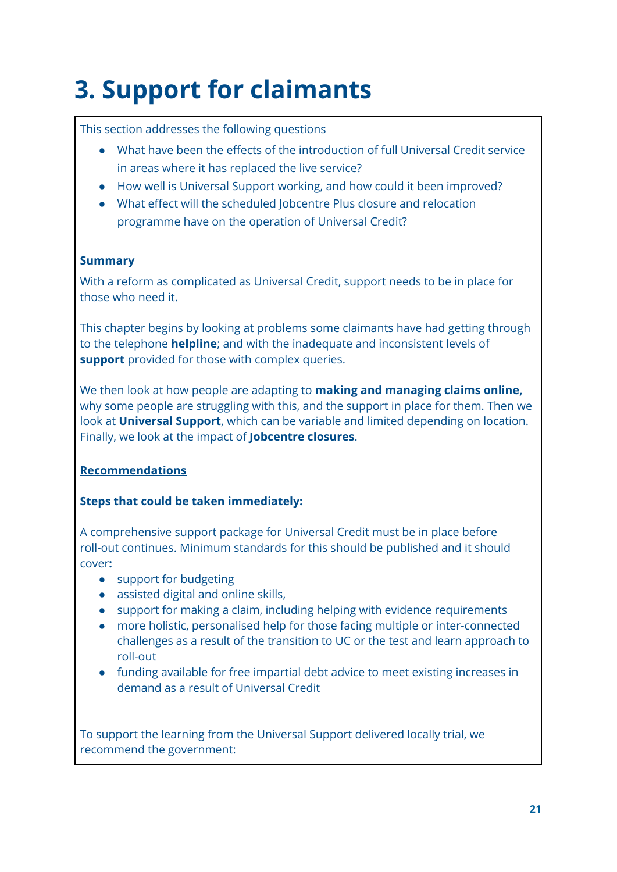# **3. Support for claimants**

## This section addresses the following questions

- What have been the effects of the introduction of full Universal Credit service in areas where it has replaced the live service?
- How well is Universal Support working, and how could it been improved?
- What effect will the scheduled Jobcentre Plus closure and relocation programme have on the operation of Universal Credit?

### **Summary**

With a reform as complicated as Universal Credit, support needs to be in place for those who need it.

This chapter begins by looking at problems some claimants have had getting through to the telephone **helpline**; and with the inadequate and inconsistent levels of **support** provided for those with complex queries.

We then look at how people are adapting to **making and managing claims online,** why some people are struggling with this, and the support in place for them. Then we look at **Universal Support**, which can be variable and limited depending on location. Finally, we look at the impact of **Jobcentre closures**.

# **Recommendations**

# **Steps that could be taken immediately:**

A comprehensive support package for Universal Credit must be in place before roll-out continues. Minimum standards for this should be published and it should cover**:**

- support for budgeting
- assisted digital and online skills,
- support for making a claim, including helping with evidence requirements
- more holistic, personalised help for those facing multiple or inter-connected challenges as a result of the transition to UC or the test and learn approach to roll-out
- funding available for free impartial debt advice to meet existing increases in demand as a result of Universal Credit

To support the learning from the Universal Support delivered locally trial, we recommend the government: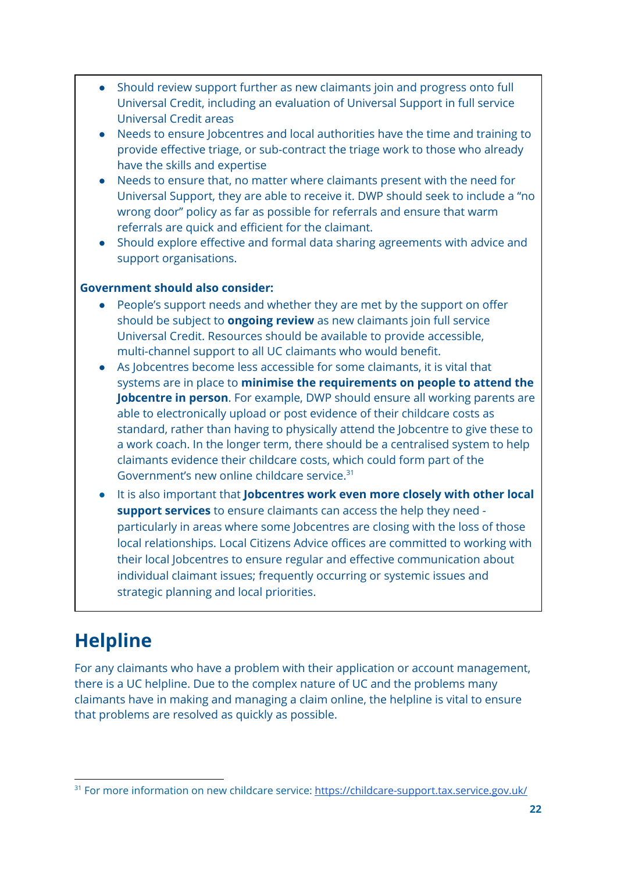- Should review support further as new claimants join and progress onto full Universal Credit, including an evaluation of Universal Support in full service Universal Credit areas
- Needs to ensure Jobcentres and local authorities have the time and training to provide effective triage, or sub-contract the triage work to those who already have the skills and expertise
- Needs to ensure that, no matter where claimants present with the need for Universal Support, they are able to receive it. DWP should seek to include a "no wrong door" policy as far as possible for referrals and ensure that warm referrals are quick and efficient for the claimant.
- Should explore effective and formal data sharing agreements with advice and support organisations.

#### **Government should also consider:**

- People's support needs and whether they are met by the support on offer should be subject to **ongoing review** as new claimants join full service Universal Credit. Resources should be available to provide accessible, multi-channel support to all UC claimants who would benefit.
- As Jobcentres become less accessible for some claimants, it is vital that systems are in place to **minimise the requirements on people to attend the Jobcentre in person**. For example, DWP should ensure all working parents are able to electronically upload or post evidence of their childcare costs as standard, rather than having to physically attend the Jobcentre to give these to a work coach. In the longer term, there should be a centralised system to help claimants evidence their childcare costs, which could form part of the Government's new online childcare service. 31
- It is also important that **Jobcentres work even more closely with other local support services** to ensure claimants can access the help they need particularly in areas where some Jobcentres are closing with the loss of those local relationships. Local Citizens Advice offices are committed to working with their local Jobcentres to ensure regular and effective communication about individual claimant issues; frequently occurring or systemic issues and strategic planning and local priorities.

# **Helpline**

For any claimants who have a problem with their application or account management, there is a UC helpline. Due to the complex nature of UC and the problems many claimants have in making and managing a claim online, the helpline is vital to ensure that problems are resolved as quickly as possible.

<sup>&</sup>lt;sup>31</sup> For more information on new childcare service: <https://childcare-support.tax.service.gov.uk/>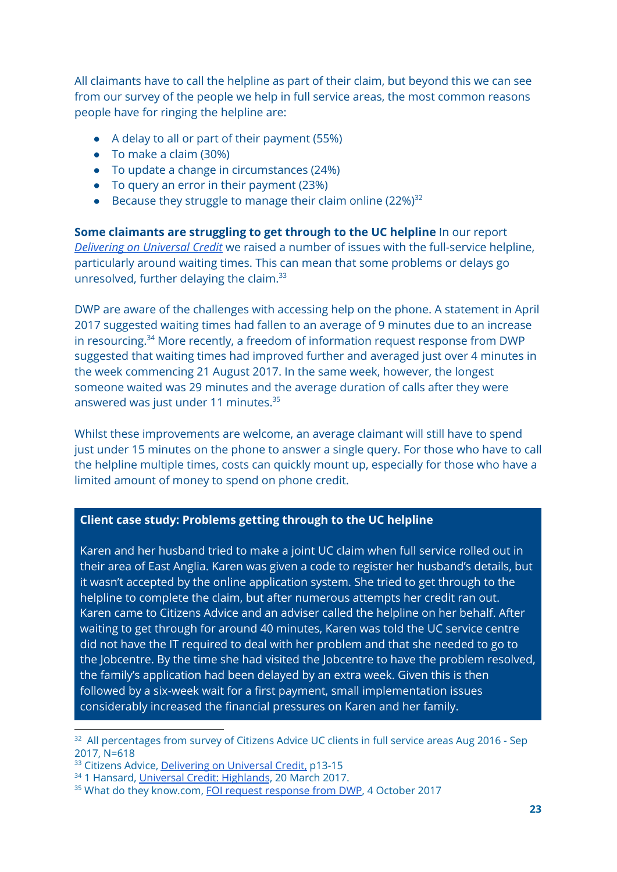All claimants have to call the helpline as part of their claim, but beyond this we can see from our survey of the people we help in full service areas, the most common reasons people have for ringing the helpline are:

- A delay to all or part of their payment (55%)
- To make a claim (30%)
- To update a change in circumstances (24%)
- To query an error in their payment (23%)
- **•** Because they struggle to manage their claim online  $(22\%)^{32}$

**Some claimants are struggling to get through to the UC helpline** In our report *[Delivering](https://www.citizensadvice.org.uk/Global/CitizensAdvice/welfare%20publications/Delivering%20on%20Universal%20Credit%20-%20report.pdf) on Universal Credit* we raised a number of issues with the full-service helpline, particularly around waiting times. This can mean that some problems or delays go unresolved, further delaying the claim.<sup>33</sup>

DWP are aware of the challenges with accessing help on the phone. A statement in April 2017 suggested waiting times had fallen to an average of 9 minutes due to an increase in resourcing.<sup>34</sup> More recently, a freedom of information request response from DWP suggested that waiting times had improved further and averaged just over 4 minutes in the week commencing 21 August 2017. In the same week, however, the longest someone waited was 29 minutes and the average duration of calls after they were answered was just under 11 minutes. 35

Whilst these improvements are welcome, an average claimant will still have to spend just under 15 minutes on the phone to answer a single query. For those who have to call the helpline multiple times, costs can quickly mount up, especially for those who have a limited amount of money to spend on phone credit.

#### **Client case study: Problems getting through to the UC helpline**

Karen and her husband tried to make a joint UC claim when full service rolled out in their area of East Anglia. Karen was given a code to register her husband's details, but it wasn't accepted by the online application system. She tried to get through to the helpline to complete the claim, but after numerous attempts her credit ran out. Karen came to Citizens Advice and an adviser called the helpline on her behalf. After waiting to get through for around 40 minutes, Karen was told the UC service centre did not have the IT required to deal with her problem and that she needed to go to the Jobcentre. By the time she had visited the Jobcentre to have the problem resolved, the family's application had been delayed by an extra week. Given this is then followed by a six-week wait for a first payment, small implementation issues considerably increased the financial pressures on Karen and her family.

<sup>&</sup>lt;sup>32</sup> All percentages from survey of Citizens Advice UC clients in full service areas Aug 2016 - Sep 2017, N=618

<sup>&</sup>lt;sup>33</sup> Citizens Advice, [Delivering](https://www.citizensadvice.org.uk/Global/CitizensAdvice/welfare%20publications/Delivering%20on%20Universal%20Credit%20-%20report.pdf) on Universal Credit, p13-15

<sup>34</sup> 1 Hansard, Universal Credit: [Highlands](https://hansard.parliament.uk/commons/2017-03-20/debates/57AA4CF5-3DA9-4BEF-8E60-D67A74D60D40/UniversalCreditHighlands), 20 March 2017.

<sup>&</sup>lt;sup>35</sup> What do they know.com, FOI request [response](https://www.whatdotheyknow.com/request/427608/response/1047830/attach/2/FOI%203582%20response.pdf?cookie_passthrough=1) from DWP, 4 October 2017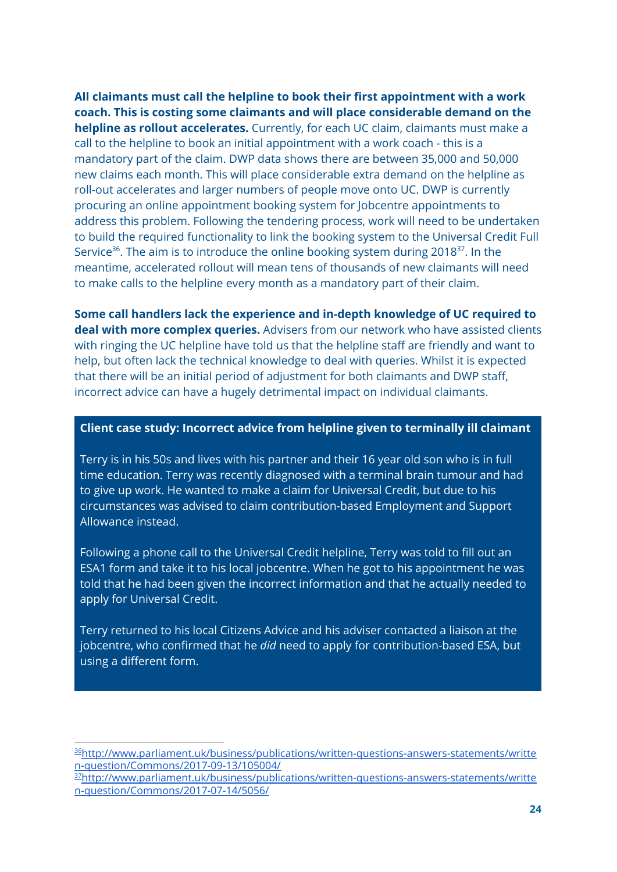**All claimants must call the helpline to book their first appointment with a work coach. This is costing some claimants and will place considerable demand on the helpline as rollout accelerates.** Currently, for each UC claim, claimants must make a call to the helpline to book an initial appointment with a work coach - this is a mandatory part of the claim. DWP data shows there are between 35,000 and 50,000 new claims each month. This will place considerable extra demand on the helpline as roll-out accelerates and larger numbers of people move onto UC. DWP is currently procuring an online appointment booking system for Jobcentre appointments to address this problem. Following the tendering process, work will need to be undertaken to build the required functionality to link the booking system to the Universal Credit Full Service<sup>36</sup>. The aim is to introduce the online booking system during 2018<sup>37</sup>. In the meantime, accelerated rollout will mean tens of thousands of new claimants will need to make calls to the helpline every month as a mandatory part of their claim.

**Some call handlers lack the experience and in-depth knowledge of UC required to deal with more complex queries.** Advisers from our network who have assisted clients with ringing the UC helpline have told us that the helpline staff are friendly and want to help, but often lack the technical knowledge to deal with queries. Whilst it is expected that there will be an initial period of adjustment for both claimants and DWP staff, incorrect advice can have a hugely detrimental impact on individual claimants.

#### **Client case study: Incorrect advice from helpline given to terminally ill claimant**

Terry is in his 50s and lives with his partner and their 16 year old son who is in full time education. Terry was recently diagnosed with a terminal brain tumour and had to give up work. He wanted to make a claim for Universal Credit, but due to his circumstances was advised to claim contribution-based Employment and Support Allowance instead.

Following a phone call to the Universal Credit helpline, Terry was told to fill out an ESA1 form and take it to his local jobcentre. When he got to his appointment he was told that he had been given the incorrect information and that he actually needed to apply for Universal Credit.

Terry returned to his local Citizens Advice and his adviser contacted a liaison at the jobcentre, who confirmed that he *did* need to apply for contribution-based ESA, but using a different form.

<sup>36</sup>[http://www.parliament.uk/business/publications/written-questions-answers-statements/writte](http://www.parliament.uk/business/publications/written-questions-answers-statements/written-question/Commons/2017-09-13/105004/) [n-question/Commons/2017-09-13/105004/](http://www.parliament.uk/business/publications/written-questions-answers-statements/written-question/Commons/2017-09-13/105004/)

<sup>37</sup>[http://www.parliament.uk/business/publications/written-questions-answers-statements/writte](http://www.parliament.uk/business/publications/written-questions-answers-statements/written-question/Commons/2017-07-14/5056/) [n-question/Commons/2017-07-14/5056/](http://www.parliament.uk/business/publications/written-questions-answers-statements/written-question/Commons/2017-07-14/5056/)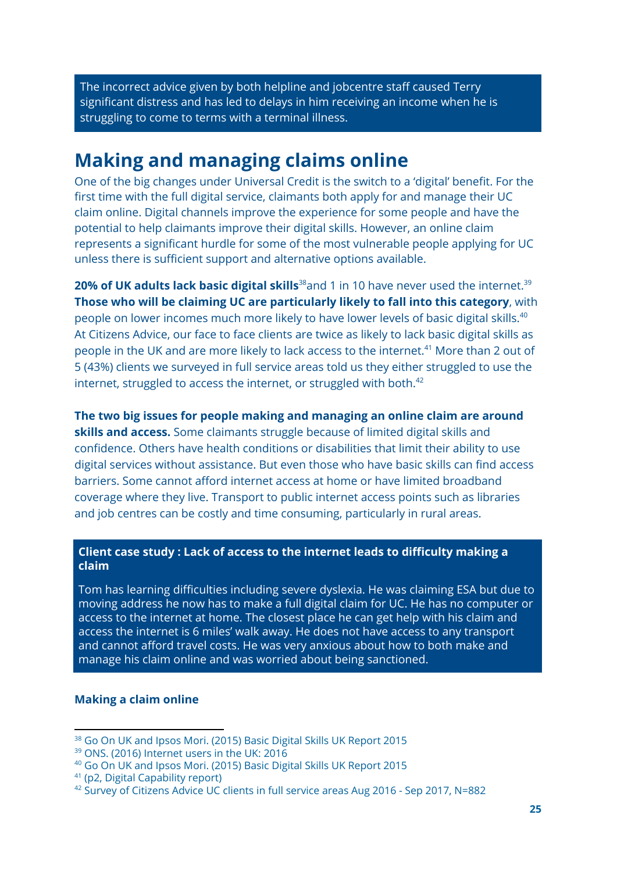The incorrect advice given by both helpline and jobcentre staff caused Terry significant distress and has led to delays in him receiving an income when he is struggling to come to terms with a terminal illness.

# **Making and managing claims online**

One of the big changes under Universal Credit is the switch to a 'digital' benefit. For the first time with the full digital service, claimants both apply for and manage their UC claim online. Digital channels improve the experience for some people and have the potential to help claimants improve their digital skills. However, an online claim represents a significant hurdle for some of the most vulnerable people applying for UC unless there is sufficient support and alternative options available.

**20% of UK adults lack basic digital skills<sup>38</sup>and 1 in 10 have never used the internet.<sup>39</sup> Those who will be claiming UC are particularly likely to fall into this category**, with people on lower incomes much more likely to have lower levels of basic digital skills. 40 At Citizens Advice, our face to face clients are twice as likely to lack basic digital skills as people in the UK and are more likely to lack access to the internet.<sup>41</sup> More than 2 out of 5 (43%) clients we surveyed in full service areas told us they either struggled to use the internet, struggled to access the internet, or struggled with both.<sup>42</sup>

**The two big issues for people making and managing an online claim are around skills and access.** Some claimants struggle because of limited digital skills and confidence. Others have health conditions or disabilities that limit their ability to use digital services without assistance. But even those who have basic skills can find access barriers. Some cannot afford internet access at home or have limited broadband coverage where they live. Transport to public internet access points such as libraries and job centres can be costly and time consuming, particularly in rural areas.

#### **Client case study : Lack of access to the internet leads to difficulty making a claim**

Tom has learning difficulties including severe dyslexia. He was claiming ESA but due to moving address he now has to make a full digital claim for UC. He has no computer or access to the internet at home. The closest place he can get help with his claim and access the internet is 6 miles' walk away. He does not have access to any transport and cannot afford travel costs. He was very anxious about how to both make and manage his claim online and was worried about being sanctioned.

#### **Making a claim online**

<sup>38</sup> Go On UK and Ipsos Mori. (2015) Basic Digital Skills UK Report 2015

<sup>39</sup> ONS. (2016) Internet users in the UK: 2016

<sup>40</sup> Go On UK and Ipsos Mori. (2015) Basic Digital Skills UK Report 2015

<sup>41</sup> (p2, Digital Capability report)

<sup>42</sup> Survey of Citizens Advice UC clients in full service areas Aug 2016 - Sep 2017, N=882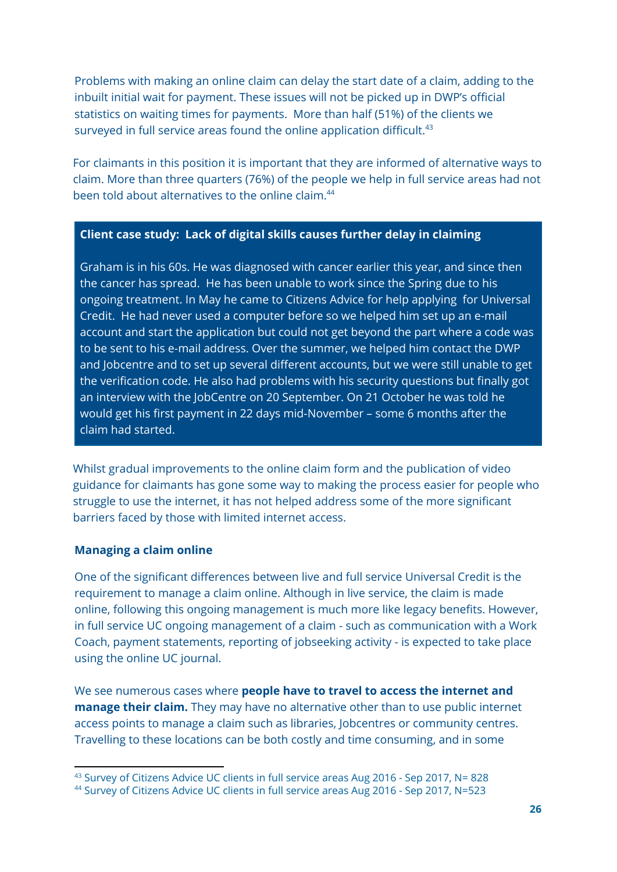Problems with making an online claim can delay the start date of a claim, adding to the inbuilt initial wait for payment. These issues will not be picked up in DWP's official statistics on waiting times for payments. More than half (51%) of the clients we surveyed in full service areas found the online application difficult. $43$ 

For claimants in this position it is important that they are informed of alternative ways to claim. More than three quarters (76%) of the people we help in full service areas had not been told about alternatives to the online claim. 44

#### **Client case study: Lack of digital skills causes further delay in claiming**

Graham is in his 60s. He was diagnosed with cancer earlier this year, and since then the cancer has spread. He has been unable to work since the Spring due to his ongoing treatment. In May he came to Citizens Advice for help applying for Universal Credit. He had never used a computer before so we helped him set up an e-mail account and start the application but could not get beyond the part where a code was to be sent to his e-mail address. Over the summer, we helped him contact the DWP and Jobcentre and to set up several different accounts, but we were still unable to get the verification code. He also had problems with his security questions but finally got an interview with the JobCentre on 20 September. On 21 October he was told he would get his first payment in 22 days mid-November – some 6 months after the claim had started.

Whilst gradual improvements to the online claim form and the publication of video guidance for claimants has gone some way to making the process easier for people who struggle to use the internet, it has not helped address some of the more significant barriers faced by those with limited internet access.

#### **Managing a claim online**

One of the significant differences between live and full service Universal Credit is the requirement to manage a claim online. Although in live service, the claim is made online, following this ongoing management is much more like legacy benefits. However, in full service UC ongoing management of a claim - such as communication with a Work Coach, payment statements, reporting of jobseeking activity - is expected to take place using the online UC journal.

We see numerous cases where **people have to travel to access the internet and manage their claim.** They may have no alternative other than to use public internet access points to manage a claim such as libraries, Jobcentres or community centres. Travelling to these locations can be both costly and time consuming, and in some

<sup>43</sup> Survey of Citizens Advice UC clients in full service areas Aug 2016 - Sep 2017, N= 828

<sup>&</sup>lt;sup>44</sup> Survey of Citizens Advice UC clients in full service areas Aug 2016 - Sep 2017, N=523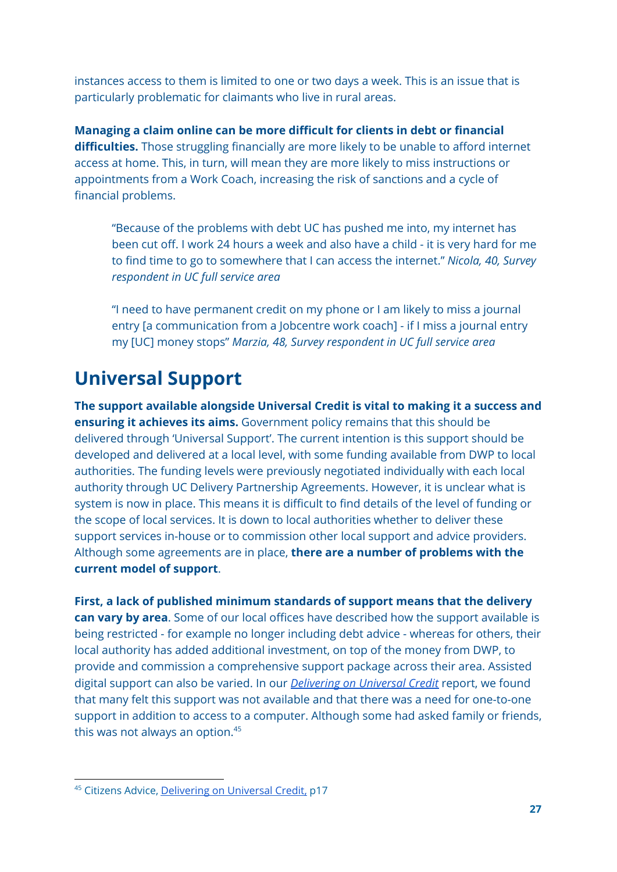instances access to them is limited to one or two days a week. This is an issue that is particularly problematic for claimants who live in rural areas.

**Managing a claim online can be more difficult for clients in debt or financial difficulties.** Those struggling financially are more likely to be unable to afford internet access at home. This, in turn, will mean they are more likely to miss instructions or appointments from a Work Coach, increasing the risk of sanctions and a cycle of financial problems.

"Because of the problems with debt UC has pushed me into, my internet has been cut off. I work 24 hours a week and also have a child - it is very hard for me to find time to go to somewhere that I can access the internet." *Nicola, 40, Survey respondent in UC full service area*

"I need to have permanent credit on my phone or I am likely to miss a journal entry [a communication from a Jobcentre work coach] - if I miss a journal entry my [UC] money stops" *Marzia, 48, Survey respondent in UC full service area*

# **Universal Support**

**The support available alongside Universal Credit is vital to making it a success and ensuring it achieves its aims.** Government policy remains that this should be delivered through 'Universal Support'. The current intention is this support should be developed and delivered at a local level, with some funding available from DWP to local authorities. The funding levels were previously negotiated individually with each local authority through UC Delivery Partnership Agreements. However, it is unclear what is system is now in place. This means it is difficult to find details of the level of funding or the scope of local services. It is down to local authorities whether to deliver these support services in-house or to commission other local support and advice providers. Although some agreements are in place, **there are a number of problems with the current model of support**.

**First, a lack of published minimum standards of support means that the delivery can vary by area**. Some of our local offices have described how the support available is being restricted - for example no longer including debt advice - whereas for others, their local authority has added additional investment, on top of the money from DWP, to provide and commission a comprehensive support package across their area. Assisted digital support can also be varied. In our *[Delivering](https://www.citizensadvice.org.uk/Global/CitizensAdvice/welfare%20publications/Delivering%20on%20Universal%20Credit%20-%20report.pdf) on Universal Credit* report, we found that many felt this support was not available and that there was a need for one-to-one support in addition to access to a computer. Although some had asked family or friends, this was not always an option. 45

<sup>45</sup> Citizens Advice, [Delivering](https://www.citizensadvice.org.uk/Global/CitizensAdvice/welfare%20publications/Delivering%20on%20Universal%20Credit%20-%20report.pdf) on Universal Credit, p17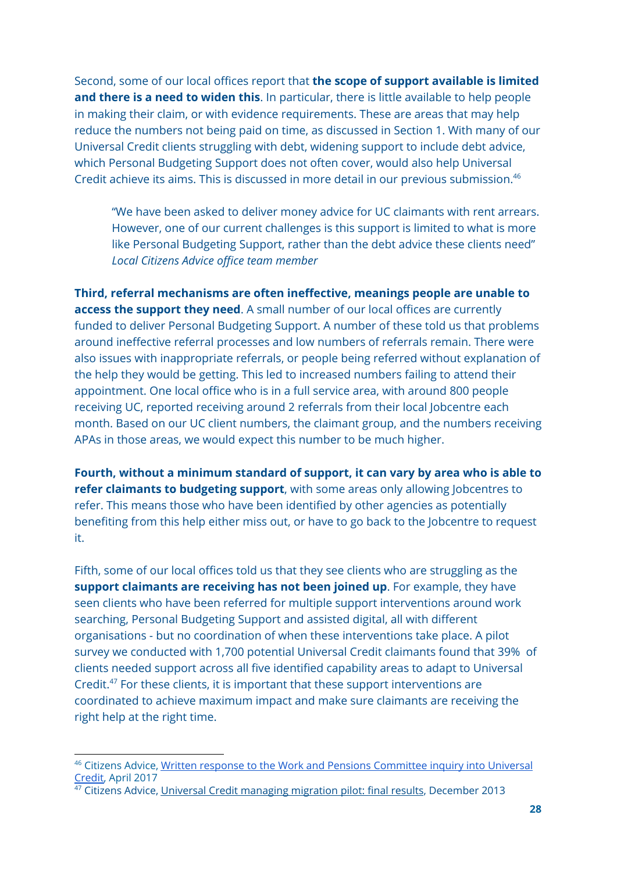Second, some of our local offices report that **the scope of support available is limited and there is a need to widen this**. In particular, there is little available to help people in making their claim, or with evidence requirements. These are areas that may help reduce the numbers not being paid on time, as discussed in Section 1. With many of our Universal Credit clients struggling with debt, widening support to include debt advice, which Personal Budgeting Support does not often cover, would also help Universal Credit achieve its aims. This is discussed in more detail in our previous submission. 46

"We have been asked to deliver money advice for UC claimants with rent arrears. However, one of our current challenges is this support is limited to what is more like Personal Budgeting Support, rather than the debt advice these clients need" *Local Citizens Advice office team member*

**Third, referral mechanisms are often ineffective, meanings people are unable to access the support they need**. A small number of our local offices are currently funded to deliver Personal Budgeting Support. A number of these told us that problems around ineffective referral processes and low numbers of referrals remain. There were also issues with inappropriate referrals, or people being referred without explanation of the help they would be getting. This led to increased numbers failing to attend their appointment. One local office who is in a full service area, with around 800 people receiving UC, reported receiving around 2 referrals from their local Jobcentre each month. Based on our UC client numbers, the claimant group, and the numbers receiving APAs in those areas, we would expect this number to be much higher.

**Fourth, without a minimum standard of support, it can vary by area who is able to refer claimants to budgeting support**, with some areas only allowing Jobcentres to refer. This means those who have been identified by other agencies as potentially benefiting from this help either miss out, or have to go back to the Jobcentre to request it.

Fifth, some of our local offices told us that they see clients who are struggling as the **support claimants are receiving has not been joined up**. For example, they have seen clients who have been referred for multiple support interventions around work searching, Personal Budgeting Support and assisted digital, all with different organisations - but no coordination of when these interventions take place. A pilot survey we conducted with 1,700 potential Universal Credit claimants found that 39% of clients needed support across all five identified capability areas to adapt to Universal Credit. $47$  For these clients, it is important that these support interventions are coordinated to achieve maximum impact and make sure claimants are receiving the right help at the right time.

<sup>&</sup>lt;sup>46</sup> Citizens Advice, Written response to the Work and Pensions [Committee](http://data.parliament.uk/writtenevidence/committeeevidence.svc/evidencedocument/work-and-pensions-committee/universal-credit-update/written/48882.pdf) inquiry into Universal [Credit,](http://data.parliament.uk/writtenevidence/committeeevidence.svc/evidencedocument/work-and-pensions-committee/universal-credit-update/written/48882.pdf) April 2017

 $47$  Citizens Advice, Universal Credit [managing](https://www.citizensadvice.org.uk/about-us/policy/policy-research-topics/welfare-policy-research-surveys-and-consultation-responses/welfare-policy-research/universal-credit-managing-migration-pilot-final-results/) migration pilot: final results, December 2013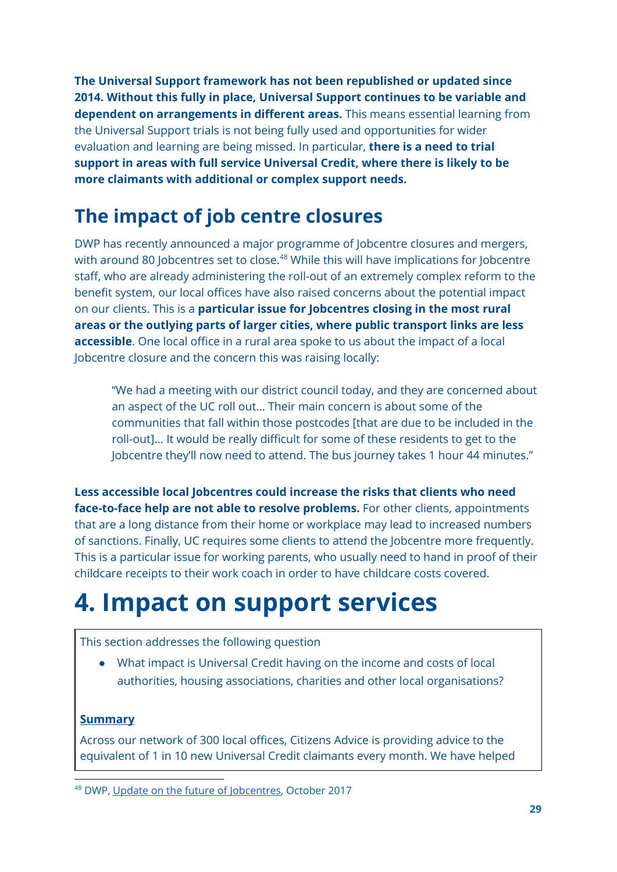**The Universal Support framework has not been republished or updated since 2014. Without this fully in place, Universal Support continues to be variable and dependent on arrangements in different areas.** This means essential learning from the Universal Support trials is not being fully used and opportunities for wider evaluation and learning are being missed. In particular, **there is a need to trial support in areas with full service Universal Credit, where there is likely to be more claimants with additional or complex support needs.**

# **The impact of job centre closures**

DWP has recently announced a major programme of Jobcentre closures and mergers, with around 80 Jobcentres set to close.<sup>48</sup> While this will have implications for Jobcentre staff, who are already administering the roll-out of an extremely complex reform to the benefit system, our local offices have also raised concerns about the potential impact on our clients. This is a **particular issue for Jobcentres closing in the most rural areas or the outlying parts of larger cities, where public transport links are less accessible**. One local office in a rural area spoke to us about the impact of a local Jobcentre closure and the concern this was raising locally:

"We had a meeting with our district council today, and they are concerned about an aspect of the UC roll out… Their main concern is about some of the communities that fall within those postcodes [that are due to be included in the roll-out]... It would be really difficult for some of these residents to get to the Jobcentre they'll now need to attend. The bus journey takes 1 hour 44 minutes."

**Less accessible local Jobcentres could increase the risks that clients who need face-to-face help are not able to resolve problems.** For other clients, appointments that are a long distance from their home or workplace may lead to increased numbers of sanctions. Finally, UC requires some clients to attend the Jobcentre more frequently. This is a particular issue for working parents, who usually need to hand in proof of their childcare receipts to their work coach in order to have childcare costs covered.

# **4. Impact on support services**

### This section addresses the following question

● What impact is Universal Credit having on the income and costs of local authorities, housing associations, charities and other local organisations?

### **Summary**

Across our network of 300 local offices, Citizens Advice is providing advice to the equivalent of 1 in 10 new Universal Credit claimants every month. We have helped

<sup>48</sup> DWP, Update on the future of [Jobcentres,](https://www.gov.uk/government/news/update-on-the-future-of-dwp-jobcentres) October 2017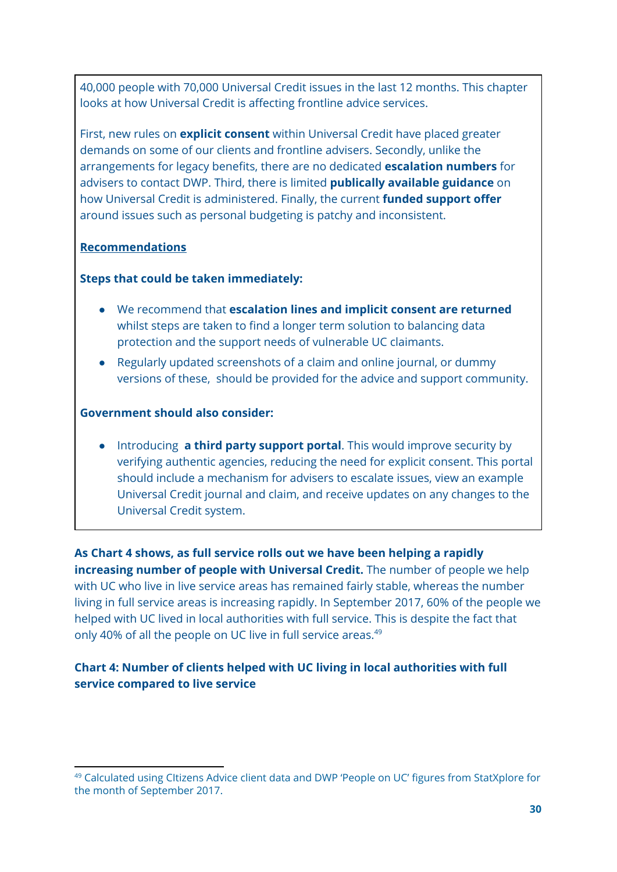40,000 people with 70,000 Universal Credit issues in the last 12 months. This chapter looks at how Universal Credit is affecting frontline advice services.

First, new rules on **explicit consent** within Universal Credit have placed greater demands on some of our clients and frontline advisers. Secondly, unlike the arrangements for legacy benefits, there are no dedicated **escalation numbers** for advisers to contact DWP. Third, there is limited **publically available guidance** on how Universal Credit is administered. Finally, the current **funded support offer** around issues such as personal budgeting is patchy and inconsistent.

### **Recommendations**

#### **Steps that could be taken immediately:**

- We recommend that **escalation lines and implicit consent are returned** whilst steps are taken to find a longer term solution to balancing data protection and the support needs of vulnerable UC claimants.
- Regularly updated screenshots of a claim and online journal, or dummy versions of these, should be provided for the advice and support community.

#### **Government should also consider:**

● Introducing **a third party support portal**. This would improve security by verifying authentic agencies, reducing the need for explicit consent. This portal should include a mechanism for advisers to escalate issues, view an example Universal Credit journal and claim, and receive updates on any changes to the Universal Credit system.

**As Chart 4 shows, as full service rolls out we have been helping a rapidly increasing number of people with Universal Credit.** The number of people we help with UC who live in live service areas has remained fairly stable, whereas the number living in full service areas is increasing rapidly. In September 2017, 60% of the people we helped with UC lived in local authorities with full service. This is despite the fact that only 40% of all the people on UC live in full service areas.<sup>49</sup>

## **Chart 4: Number of clients helped with UC living in local authorities with full service compared to live service**

<sup>49</sup> Calculated using CItizens Advice client data and DWP 'People on UC' figures from StatXplore for the month of September 2017.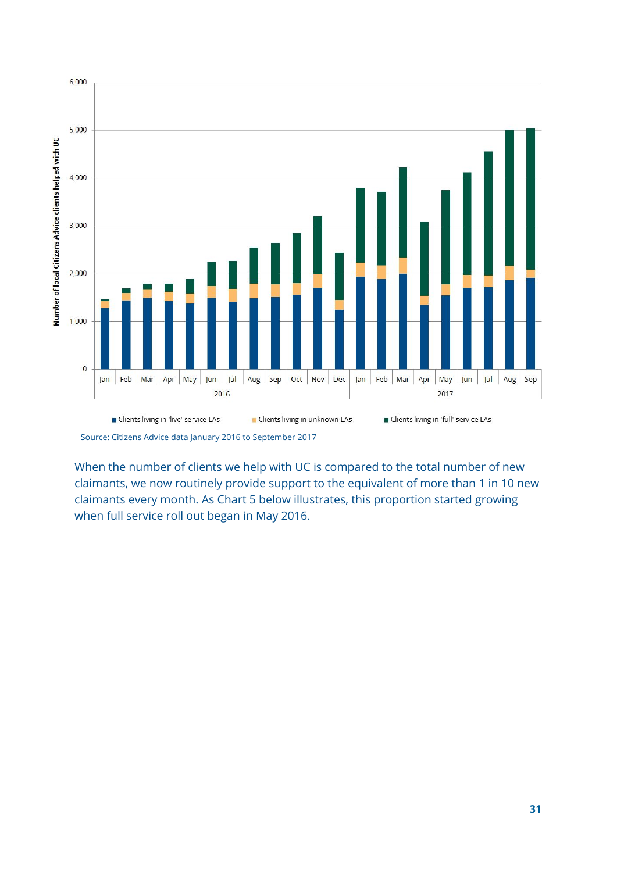

Source: Citizens Advice data January 2016 to September 2017

When the number of clients we help with UC is compared to the total number of new claimants, we now routinely provide support to the equivalent of more than 1 in 10 new claimants every month. As Chart 5 below illustrates, this proportion started growing when full service roll out began in May 2016.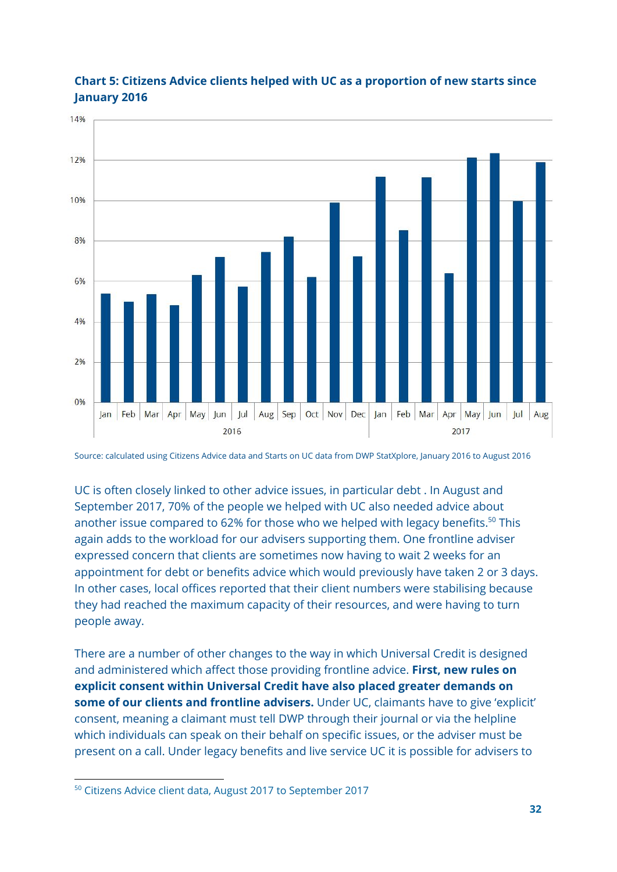

## **Chart 5: Citizens Advice clients helped with UC as a proportion of new starts since January 2016**

Source: calculated using Citizens Advice data and Starts on UC data from DWP StatXplore, January 2016 to August 2016

UC is often closely linked to other advice issues, in particular debt . In August and September 2017, 70% of the people we helped with UC also needed advice about another issue compared to 62% for those who we helped with legacy benefits. $^{50}$  This again adds to the workload for our advisers supporting them. One frontline adviser expressed concern that clients are sometimes now having to wait 2 weeks for an appointment for debt or benefits advice which would previously have taken 2 or 3 days. In other cases, local offices reported that their client numbers were stabilising because they had reached the maximum capacity of their resources, and were having to turn people away.

There are a number of other changes to the way in which Universal Credit is designed and administered which affect those providing frontline advice. **First, new rules on explicit consent within Universal Credit have also placed greater demands on some of our clients and frontline advisers.** Under UC, claimants have to give 'explicit' consent, meaning a claimant must tell DWP through their journal or via the helpline which individuals can speak on their behalf on specific issues, or the adviser must be present on a call. Under legacy benefits and live service UC it is possible for advisers to

<sup>50</sup> Citizens Advice client data, August 2017 to September 2017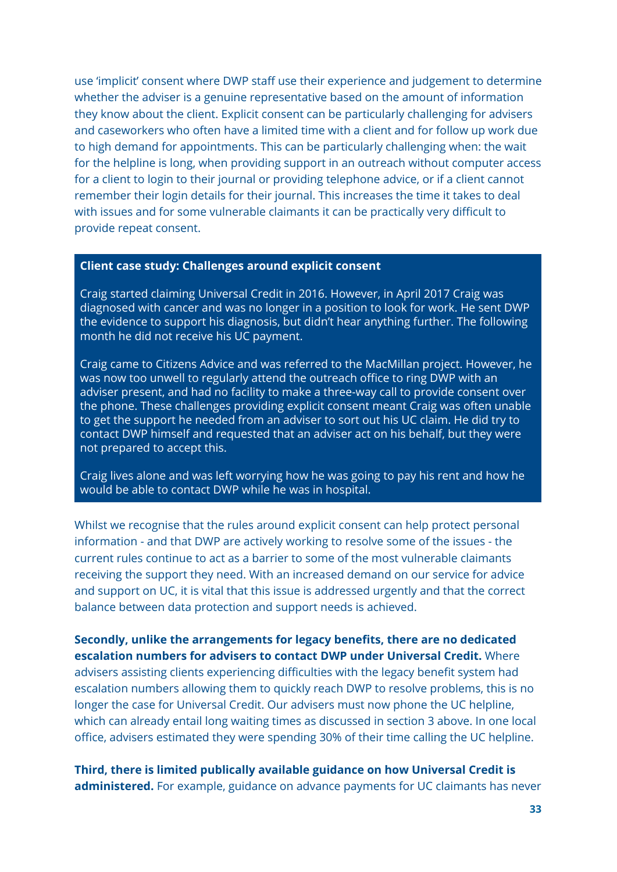use 'implicit' consent where DWP staff use their experience and judgement to determine whether the adviser is a genuine representative based on the amount of information they know about the client. Explicit consent can be particularly challenging for advisers and caseworkers who often have a limited time with a client and for follow up work due to high demand for appointments. This can be particularly challenging when: the wait for the helpline is long, when providing support in an outreach without computer access for a client to login to their journal or providing telephone advice, or if a client cannot remember their login details for their journal. This increases the time it takes to deal with issues and for some vulnerable claimants it can be practically very difficult to provide repeat consent.

#### **Client case study: Challenges around explicit consent**

Craig started claiming Universal Credit in 2016. However, in April 2017 Craig was diagnosed with cancer and was no longer in a position to look for work. He sent DWP the evidence to support his diagnosis, but didn't hear anything further. The following month he did not receive his UC payment.

Craig came to Citizens Advice and was referred to the MacMillan project. However, he was now too unwell to regularly attend the outreach office to ring DWP with an adviser present, and had no facility to make a three-way call to provide consent over the phone. These challenges providing explicit consent meant Craig was often unable to get the support he needed from an adviser to sort out his UC claim. He did try to contact DWP himself and requested that an adviser act on his behalf, but they were not prepared to accept this.

Craig lives alone and was left worrying how he was going to pay his rent and how he would be able to contact DWP while he was in hospital.

Whilst we recognise that the rules around explicit consent can help protect personal information - and that DWP are actively working to resolve some of the issues - the current rules continue to act as a barrier to some of the most vulnerable claimants receiving the support they need. With an increased demand on our service for advice and support on UC, it is vital that this issue is addressed urgently and that the correct balance between data protection and support needs is achieved.

**Secondly, unlike the arrangements for legacy benefits, there are no dedicated escalation numbers for advisers to contact DWP under Universal Credit.** Where advisers assisting clients experiencing difficulties with the legacy benefit system had escalation numbers allowing them to quickly reach DWP to resolve problems, this is no longer the case for Universal Credit. Our advisers must now phone the UC helpline, which can already entail long waiting times as discussed in section 3 above. In one local office, advisers estimated they were spending 30% of their time calling the UC helpline.

**Third, there is limited publically available guidance on how Universal Credit is administered.** For example, guidance on advance payments for UC claimants has never